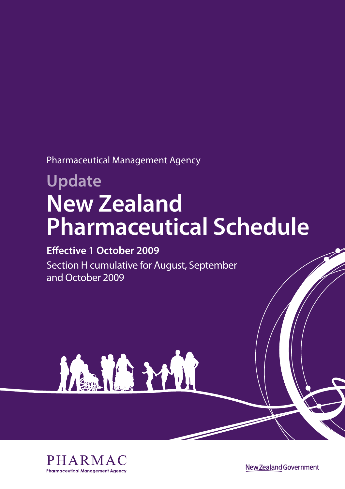Pharmaceutical Management Agency

# **Update New Zealand Pharmaceutical Schedule**

### **Effective 1 October 2009**

Section H cumulative for August, September and October 2009





New Zealand Government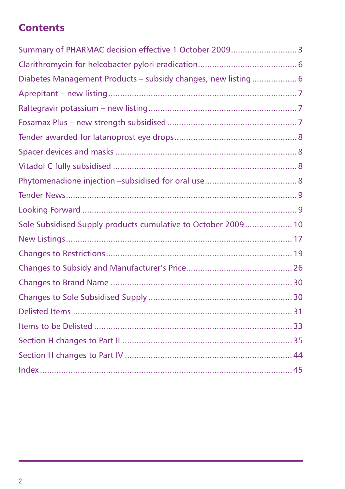# **Contents**

| Summary of PHARMAC decision effective 1 October 2009 3        |  |
|---------------------------------------------------------------|--|
|                                                               |  |
| Diabetes Management Products - subsidy changes, new listing 6 |  |
|                                                               |  |
|                                                               |  |
|                                                               |  |
|                                                               |  |
|                                                               |  |
|                                                               |  |
|                                                               |  |
|                                                               |  |
|                                                               |  |
| Sole Subsidised Supply products cumulative to October 2009 10 |  |
|                                                               |  |
|                                                               |  |
|                                                               |  |
|                                                               |  |
|                                                               |  |
|                                                               |  |
|                                                               |  |
|                                                               |  |
|                                                               |  |
|                                                               |  |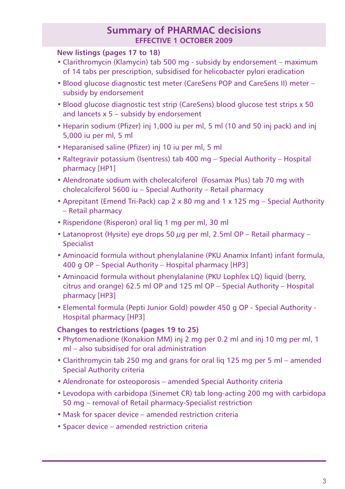### **Summary of PHARMAC decisions effective 1 OCTOBER 2009**

### **New listings (pages 17 to 18)**

- Clarithromycin (Klamycin) tab 500 mg subsidy by endorsement maximum of 14 tabs per prescription, subsidised for helicobacter pylori eradication
- Blood glucose diagnostic test meter (CareSens POP and CareSens II) meter subsidy by endorsement
- Blood glucose diagnostic test strip (CareSens) blood glucose test strips x 50 and lancets x 5 – subsidy by endorsement
- Heparin sodium (Pfizer) inj 1,000 iu per ml, 5 ml (10 and 50 inj pack) and inj 5,000 iu per ml, 5 ml
- Heparanised saline (Pfizer) inj 10 iu per ml, 5 ml
- Raltegravir potassium (Isentress) tab 400 mg Special Authority Hospital pharmacy [HP1]
- Alendronate sodium with cholecalciferol (Fosamax Plus) tab 70 mg with cholecalciferol 5600 iu – Special Authority – Retail pharmacy
- Aprepitant (Emend Tri-Pack) cap 2 x 80 mg and 1 x 125 mg Special Authority – Retail pharmacy
- Risperidone (Risperon) oral liq 1 mg per ml, 30 ml
- Latanoprost (Hysite) eye drops 50  $\mu$ g per ml, 2.5ml OP Retail pharmacy Specialist
- Aminoacid formula without phenylalanine (PKU Anamix Infant) infant formula, 400 g OP – Special Authority – Hospital pharmacy [HP3]
- Aminoacid formula without phenylalanine (PKU Lophlex LQ) liquid (berry, citrus and orange) 62.5 ml OP and 125 ml OP – Special Authority – Hospital pharmacy [HP3]
- Elemental formula (Pepti Junior Gold) powder 450 g OP Special Authority Hospital pharmacy [HP3]

### **Changes to restrictions (pages 19 to 25)**

- Phytomenadione (Konakion MM) inj 2 mg per 0.2 ml and inj 10 mg per ml, 1 ml – also subsidised for oral administration
- Clarithromycin tab 250 mg and grans for oral liq 125 mg per 5 ml amended Special Authority criteria
- Alendronate for osteoporosis amended Special Authority criteria
- Levodopa with carbidopa (Sinemet CR) tab long-acting 200 mg with carbidopa 50 mg – removal of Retail pharmacy-Specialist restriction
- Mask for spacer device amended restriction criteria
- Spacer device amended restriction criteria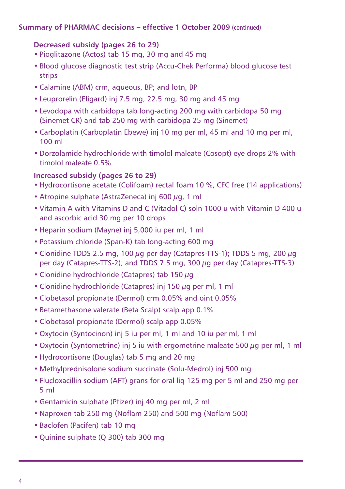### **Summary of PHARMAC decisions – effective 1 October 2009 (continued)**

### **Decreased subsidy (pages 26 to 29)**

- Pioglitazone (Actos) tab 15 mg, 30 mg and 45 mg
- Blood glucose diagnostic test strip (Accu-Chek Performa) blood glucose test strips
- Calamine (ABM) crm, aqueous, BP; and lotn, BP
- Leuprorelin (Eligard) inj 7.5 mg, 22.5 mg, 30 mg and 45 mg
- Levodopa with carbidopa tab long-acting 200 mg with carbidopa 50 mg (Sinemet CR) and tab 250 mg with carbidopa 25 mg (Sinemet)
- Carboplatin (Carboplatin Ebewe) inj 10 mg per ml, 45 ml and 10 mg per ml, 100 ml
- Dorzolamide hydrochloride with timolol maleate (Cosopt) eye drops 2% with timolol maleate 0.5%

### **Increased subsidy (pages 26 to 29)**

- Hydrocortisone acetate (Colifoam) rectal foam 10 %, CFC free (14 applications)
- Atropine sulphate (AstraZeneca) inj 600  $\mu$ g, 1 ml
- Vitamin A with Vitamins D and C (Vitadol C) soln 1000 u with Vitamin D 400 u and ascorbic acid 30 mg per 10 drops
- Heparin sodium (Mayne) inj 5,000 iu per ml, 1 ml
- Potassium chloride (Span-K) tab long-acting 600 mg
- Clonidine TDDS 2.5 mg, 100  $\mu$ g per day (Catapres-TTS-1); TDDS 5 mg, 200  $\mu$ g per day (Catapres-TTS-2); and TDDS 7.5 mg, 300 µg per day (Catapres-TTS-3)
- Clonidine hydrochloride (Catapres) tab 150  $\mu$ g
- Clonidine hydrochloride (Catapres) inj 150 µg per ml, 1 ml
- Clobetasol propionate (Dermol) crm 0.05% and oint 0.05%
- Betamethasone valerate (Beta Scalp) scalp app 0.1%
- Clobetasol propionate (Dermol) scalp app 0.05%
- Oxytocin (Syntocinon) inj 5 iu per ml, 1 ml and 10 iu per ml, 1 ml
- Oxytocin (Syntometrine) inj 5 iu with ergometrine maleate 500 µg per ml, 1 ml
- Hydrocortisone (Douglas) tab 5 mg and 20 mg
- Methylprednisolone sodium succinate (Solu-Medrol) inj 500 mg
- Flucloxacillin sodium (AFT) grans for oral liq 125 mg per 5 ml and 250 mg per 5 ml
- Gentamicin sulphate (Pfizer) inj 40 mg per ml, 2 ml
- Naproxen tab 250 mg (Noflam 250) and 500 mg (Noflam 500)
- Baclofen (Pacifen) tab 10 mg
- Quinine sulphate (Q 300) tab 300 mg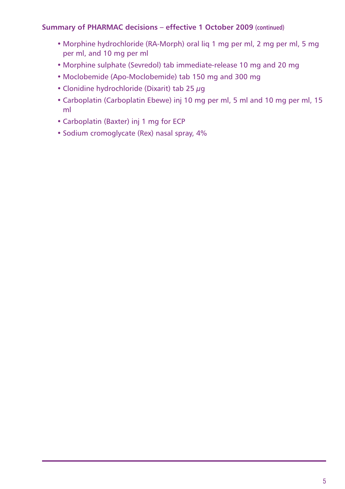### **Summary of PHARMAC decisions – effective 1 October 2009 (continued)**

- Morphine hydrochloride (RA-Morph) oral liq 1 mg per ml, 2 mg per ml, 5 mg per ml, and 10 mg per ml
- Morphine sulphate (Sevredol) tab immediate-release 10 mg and 20 mg
- Moclobemide (Apo-Moclobemide) tab 150 mg and 300 mg
- Clonidine hydrochloride (Dixarit) tab 25  $\mu$ g
- Carboplatin (Carboplatin Ebewe) inj 10 mg per ml, 5 ml and 10 mg per ml, 15 ml
- Carboplatin (Baxter) inj 1 mg for ECP
- Sodium cromoglycate (Rex) nasal spray, 4%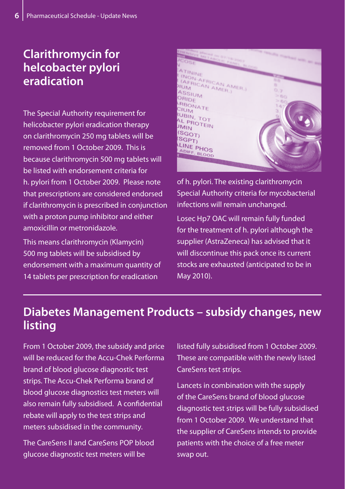# **Clarithromycin for helcobacter pylori eradication**

The Special Authority requirement for helicobacter pylori eradication therapy on clarithromycin 250 mg tablets will be removed from 1 October 2009. This is because clarithromycin 500 mg tablets will be listed with endorsement criteria for h. pylori from 1 October 2009. Please note that prescriptions are considered endorsed if clarithromycin is prescribed in conjunction with a proton pump inhibitor and either amoxicillin or metronidazole.

This means clarithromycin (Klamycin) 500 mg tablets will be subsidised by endorsement with a maximum quantity of 14 tablets per prescription for eradication



of h. pylori. The existing clarithromycin Special Authority criteria for mycobacterial infections will remain unchanged. Losec Hp7 OAC will remain fully funded for the treatment of h. pylori although the supplier (AstraZeneca) has advised that it will discontinue this pack once its current stocks are exhausted (anticipated to be in May 2010).

# **Diabetes Management Products – subsidy changes, new listing**

From 1 October 2009, the subsidy and price will be reduced for the Accu-Chek Performa brand of blood glucose diagnostic test strips. The Accu-Chek Performa brand of blood glucose diagnostics test meters will also remain fully subsidised. A confidential rebate will apply to the test strips and meters subsidised in the community.

The CareSens II and CareSens POP blood glucose diagnostic test meters will be

listed fully subsidised from 1 October 2009. These are compatible with the newly listed CareSens test strips.

Lancets in combination with the supply of the CareSens brand of blood glucose diagnostic test strips will be fully subsidised from 1 October 2009. We understand that the supplier of CareSens intends to provide patients with the choice of a free meter swap out.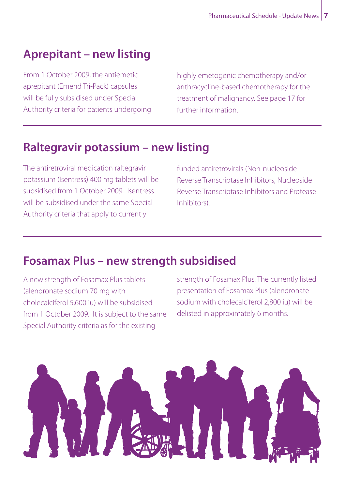# **Aprepitant – new listing**

From 1 October 2009, the antiemetic aprepitant (Emend Tri-Pack) capsules will be fully subsidised under Special Authority criteria for patients undergoing highly emetogenic chemotherapy and/or anthracycline-based chemotherapy for the treatment of malignancy. See page 17 for further information.

# **Raltegravir potassium – new listing**

The antiretroviral medication raltegravir potassium (Isentress) 400 mg tablets will be subsidised from 1 October 2009. Isentress will be subsidised under the same Special Authority criteria that apply to currently

funded antiretrovirals (Non-nucleoside Reverse Transcriptase Inhibitors, Nucleoside Reverse Transcriptase Inhibitors and Protease Inhibitors).

# **Fosamax Plus – new strength subsidised**

A new strength of Fosamax Plus tablets (alendronate sodium 70 mg with cholecalciferol 5,600 iu) will be subsidised from 1 October 2009. It is subject to the same Special Authority criteria as for the existing

strength of Fosamax Plus. The currently listed presentation of Fosamax Plus (alendronate sodium with cholecalciferol 2,800 iu) will be delisted in approximately 6 months.

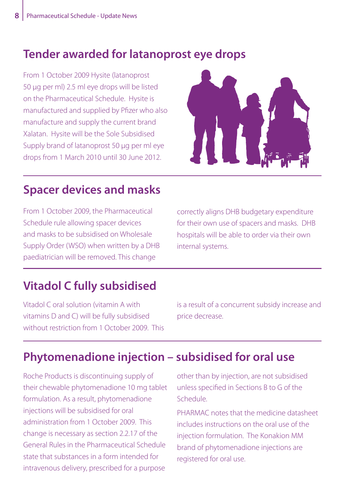# **Tender awarded for latanoprost eye drops**

From 1 October 2009 Hysite (latanoprost 50 µg per ml) 2.5 ml eye drops will be listed on the Pharmaceutical Schedule. Hysite is manufactured and supplied by Pfizer who also manufacture and supply the current brand Xalatan. Hysite will be the Sole Subsidised Supply brand of latanoprost 50 µg per ml eye drops from 1 March 2010 until 30 June 2012.



# **Spacer devices and masks**

From 1 October 2009, the Pharmaceutical Schedule rule allowing spacer devices and masks to be subsidised on Wholesale Supply Order (WSO) when written by a DHB paediatrician will be removed. This change

correctly aligns DHB budgetary expenditure for their own use of spacers and masks. DHB hospitals will be able to order via their own internal systems.

# **Vitadol C fully subsidised**

Vitadol C oral solution (vitamin A with vitamins D and C) will be fully subsidised without restriction from 1 October 2009. This is a result of a concurrent subsidy increase and price decrease.

# **Phytomenadione injection – subsidised for oral use**

Roche Products is discontinuing supply of their chewable phytomenadione 10 mg tablet formulation. As a result, phytomenadione injections will be subsidised for oral administration from 1 October 2009. This change is necessary as section 2.2.17 of the General Rules in the Pharmaceutical Schedule state that substances in a form intended for intravenous delivery, prescribed for a purpose

other than by injection, are not subsidised unless specified in Sections B to G of the Schedule.

PHARMAC notes that the medicine datasheet includes instructions on the oral use of the injection formulation. The Konakion MM brand of phytomenadione injections are registered for oral use.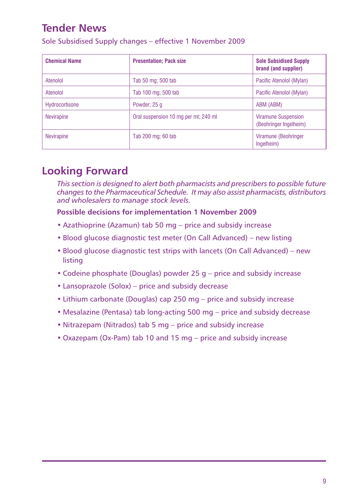# **Tender News**

Sole Subsidised Supply changes – effective 1 November 2009

| <b>Chemical Name</b> | <b>Presentation: Pack size</b>       | <b>Sole Subsidised Supply</b><br>brand (and supplier) |
|----------------------|--------------------------------------|-------------------------------------------------------|
| Atenolol             | Tab 50 mg; 500 tab                   | Pacific Atenolol (Mylan)                              |
| Atenolol             | Tab 100 mg; 500 tab                  | Pacific Atenolol (Mylan)                              |
| Hydrocortisone       | Powder; 25 g                         | ABM (ABM)                                             |
| Nevirapine           | Oral suspension 10 mg per ml; 240 ml | <b>Viramune Suspension</b><br>(Beohringer Ingelheim)  |
| <b>Nevirapine</b>    | Tab 200 mg; 60 tab                   | Viramune (Beohringer<br>Ingelheim)                    |

# **Looking Forward**

*This section is designed to alert both pharmacists and prescribers to possible future changes to the Pharmaceutical Schedule. It may also assist pharmacists, distributors and wholesalers to manage stock levels.*

### **Possible decisions for implementation 1 November 2009**

- Azathioprine (Azamun) tab 50 mg price and subsidy increase
- Blood glucose diagnostic test meter (On Call Advanced) new listing
- Blood glucose diagnostic test strips with lancets (On Call Advanced) new listing
- Codeine phosphate (Douglas) powder 25 g price and subsidy increase
- Lansoprazole (Solox) price and subsidy decrease
- Lithium carbonate (Douglas) cap 250 mg price and subsidy increase
- Mesalazine (Pentasa) tab long-acting 500 mg price and subsidy decrease
- Nitrazepam (Nitrados) tab 5 mg price and subsidy increase
- Oxazepam (Ox-Pam) tab 10 and 15 mg price and subsidy increase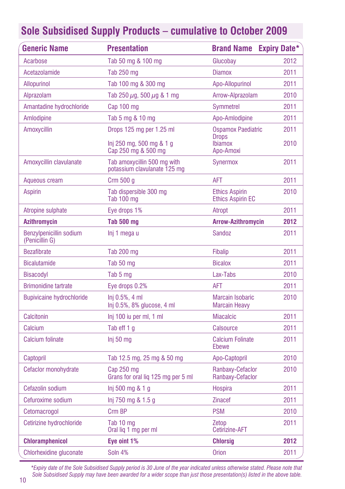| <b>Generic Name</b>                       | <b>Presentation</b>                                         | <b>Brand Name Expiry Date*</b>                    |      |
|-------------------------------------------|-------------------------------------------------------------|---------------------------------------------------|------|
| Acarbose                                  | Tab 50 mg & 100 mg                                          | Glucobay                                          | 2012 |
| Acetazolamide                             | Tab 250 mg                                                  | <b>Diamox</b>                                     | 2011 |
| <b>Allopurinol</b>                        | Tab 100 mg & 300 mg                                         | Apo-Allopurinol                                   | 2011 |
| Alprazolam                                | Tab 250 $\mu$ g, 500 $\mu$ g & 1 mg                         | Arrow-Alprazolam                                  | 2010 |
| Amantadine hydrochloride                  | Cap 100 mg                                                  | <b>Symmetrel</b>                                  | 2011 |
| Amlodipine                                | Tab 5 mg & 10 mg                                            | Apo-Amlodipine                                    | 2011 |
| <b>Amoxycillin</b>                        | Drops 125 mg per 1.25 ml                                    | <b>Ospamox Paediatric</b>                         | 2011 |
|                                           | Inj 250 mg, 500 mg & 1 g<br>Cap 250 mg & 500 mg             | <b>Drops</b><br><b>Ibiamox</b><br>Apo-Amoxi       | 2010 |
| Amoxycillin clavulanate                   | Tab amoxycillin 500 mg with<br>potassium clavulanate 125 mg | Synermox                                          | 2011 |
| Aqueous cream                             | Crm 500 g                                                   | <b>AFT</b>                                        | 2011 |
| <b>Aspirin</b>                            | Tab dispersible 300 mg<br>Tab 100 mg                        | <b>Ethics Aspirin</b><br><b>Ethics Aspirin EC</b> | 2010 |
| Atropine sulphate                         | Eye drops 1%                                                | Atropt                                            | 2011 |
| <b>Azithromycin</b>                       | <b>Tab 500 mg</b>                                           | <b>Arrow-Azithromycin</b>                         | 2012 |
| Benzylpenicillin sodium<br>(Penicillin G) | Inj 1 mega u                                                | <b>Sandoz</b>                                     | 2011 |
| <b>Bezafibrate</b>                        | Tab 200 mg                                                  | <b>Fibalip</b>                                    | 2011 |
| <b>Bicalutamide</b>                       | Tab 50 mg                                                   | <b>Bicalox</b>                                    | 2011 |
| <b>Bisacodyl</b>                          | Tab 5 mg                                                    | Lax-Tabs                                          | 2010 |
| <b>Brimonidine tartrate</b>               | Eye drops 0.2%                                              | AFT                                               | 2011 |
| <b>Bupivicaine hydrochloride</b>          | Ini 0.5%, 4 ml<br>Inj 0.5%, 8% glucose, 4 ml                | <b>Marcain Isobaric</b><br><b>Marcain Heavy</b>   | 2010 |
| Calcitonin                                | Inj 100 iu per ml, 1 ml                                     | <b>Miacalcic</b>                                  | 2011 |
| Calcium                                   | Tab eff 1 q                                                 | <b>Calsource</b>                                  | 2011 |
| Calcium folinate                          | Inj 50 mg                                                   | <b>Calcium Folinate</b><br>Ebewe                  | 2011 |
| Captopril                                 | Tab 12.5 mg, 25 mg & 50 mg                                  | Apo-Captopril                                     | 2010 |
| Cefaclor monohydrate                      | Cap 250 mg<br>Grans for oral lig 125 mg per 5 ml            | Ranbaxy-Cefaclor<br>Ranbaxy-Cefaclor              | 2010 |
| Cefazolin sodium                          | Inj 500 mg & 1 g                                            | Hospira                                           | 2011 |
| Cefuroxime sodium                         | Inj 750 mg & 1.5 g                                          | <b>Zinacef</b>                                    | 2011 |
| Cetomacrogol                              | Crm BP                                                      | <b>PSM</b>                                        | 2010 |
| Cetirizine hydrochloride                  | Tab 10 mg<br>Oral lig 1 mg per ml                           | Zetop<br><b>Cetirizine-AFT</b>                    | 2011 |
| <b>Chloramphenicol</b>                    | Eye oint 1%                                                 | <b>Chlorsig</b>                                   | 2012 |
| Chlorhexidine gluconate                   | Soln 4%                                                     | Orion                                             | 2011 |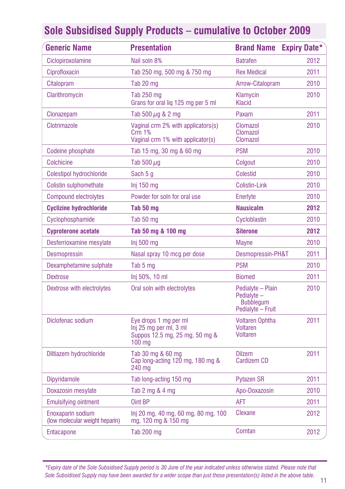| <b>Generic Name</b>                                 | <b>Presentation</b>                                                                         | <b>Brand Name</b>                                                        | <b>Expiry Date*</b> |
|-----------------------------------------------------|---------------------------------------------------------------------------------------------|--------------------------------------------------------------------------|---------------------|
| Ciclopiroxolamine                                   | Nail soln 8%                                                                                | <b>Batrafen</b>                                                          | 2012                |
| Ciprofloxacin                                       | Tab 250 mg, 500 mg & 750 mg                                                                 | <b>Rex Medical</b>                                                       | 2011                |
| Citalopram                                          | Tab 20 mg                                                                                   | Arrow-Citalopram                                                         | 2010                |
| Clarithromycin                                      | Tab 250 mg<br>Grans for oral lig 125 mg per 5 ml                                            | Klamycin<br><b>Klacid</b>                                                | 2010                |
| Clonazepam                                          | Tab 500 $\mu$ g & 2 mg                                                                      | Paxam                                                                    | 2011                |
| Clotrimazole                                        | Vaginal crm 2% with applicators(s)<br>Crm 1%<br>Vaginal crm 1% with applicator(s)           | Clomazol<br>Clomazol<br>Clomazol                                         | 2010                |
| Codeine phosphate                                   | Tab 15 mg, 30 mg & 60 mg                                                                    | <b>PSM</b>                                                               | 2010                |
| <b>Colchicine</b>                                   | Tab 500 $\mu$ g                                                                             | Colgout                                                                  | 2010                |
| Colestipol hydrochloride                            | Sach 5 g                                                                                    | Colestid                                                                 | 2010                |
| Colistin sulphomethate                              | $Inj$ 150 mg                                                                                | Colistin-Link                                                            | 2010                |
| <b>Compound electrolytes</b>                        | Powder for soln for oral use                                                                | Enerlyte                                                                 | 2010                |
| <b>Cyclizine hydrochloride</b>                      | Tab 50 mg                                                                                   | <b>Nausicalm</b>                                                         | 2012                |
| Cyclophosphamide                                    | Tab 50 mg                                                                                   | Cycloblastin                                                             | 2010                |
| <b>Cyproterone acetate</b>                          | Tab 50 mg & 100 mg                                                                          | <b>Siterone</b>                                                          | 2012                |
| Desferrioxamine mesylate                            | Inj 500 mg                                                                                  | <b>Mayne</b>                                                             | 2010                |
| <b>Desmopressin</b>                                 | Nasal spray 10 mcg per dose                                                                 | Desmopressin-PH&T                                                        | 2011                |
| Dexamphetamine sulphate                             | Tab 5 mg                                                                                    | <b>PSM</b>                                                               | 2010                |
| <b>Dextrose</b>                                     | Inj 50%, 10 ml                                                                              | <b>Biomed</b>                                                            | 2011                |
| Dextrose with electrolytes                          | Oral soln with electrolytes                                                                 | Pedialyte - Plain<br>Pedialvte-<br><b>Bubbleaum</b><br>Pedialyte - Fruit | 2010                |
| Diclofenac sodium                                   | Eye drops 1 mg per ml<br>Inj 25 mg per ml, 3 ml<br>Suppos 12.5 mg, 25 mg, 50 mg &<br>100 mg | <b>Voltaren Ophtha</b><br>Voltaren<br>Voltaren                           | 2011                |
| Diltiazem hydrochloride                             | Tab 30 mg & 60 mg<br>Cap long-acting 120 mg, 180 mg &<br>240 mg                             | <b>Dilzem</b><br>Cardizem CD                                             | 2011                |
| <b>Dipyridamole</b>                                 | Tab long-acting 150 mg                                                                      | <b>Pytazen SR</b>                                                        | 2011                |
| Doxazosin mesylate                                  | Tab 2 mg & 4 mg                                                                             | Apo-Doxazosin                                                            | 2010                |
| <b>Emulsifying ointment</b>                         | Oint BP                                                                                     | AFT                                                                      | 2011                |
| Enoxaparin sodium<br>(low molecular weight heparin) | lnj 20 mg, 40 mg, 60 mg, 80 mg, 100<br>mg, 120 mg & 150 mg                                  | Clexane                                                                  | 2012                |
| <b>Entacapone</b>                                   | <b>Tab 200 mg</b>                                                                           | Comtan                                                                   | 2012                |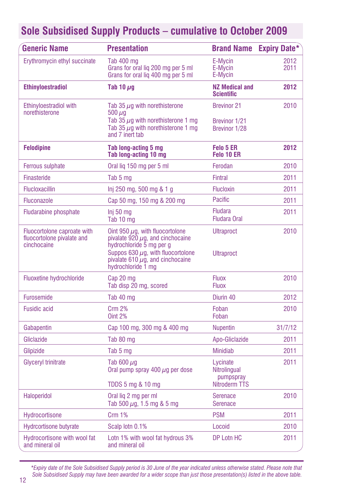| <b>Generic Name</b>                                                      | <b>Presentation</b>                                                                                                                                                                                                |                                                               | <b>Brand Name Expiry Date*</b> |  |              |
|--------------------------------------------------------------------------|--------------------------------------------------------------------------------------------------------------------------------------------------------------------------------------------------------------------|---------------------------------------------------------------|--------------------------------|--|--------------|
| Erythromycin ethyl succinate                                             | Tab 400 mg<br>E-Mycin<br>Grans for oral lig 200 mg per 5 ml<br>E-Mycin<br>Grans for oral lig 400 mg per 5 ml<br>E-Mycin                                                                                            |                                                               |                                |  | 2012<br>2011 |
| <b>Ethinyloestradiol</b>                                                 | Tab 10 $\mu$ g                                                                                                                                                                                                     | <b>NZ Medical and</b><br><b>Scientific</b>                    | 2012                           |  |              |
| Ethinyloestradiol with<br>norethisterone                                 | Tab 35 $\mu$ g with norethisterone<br>$500 \mu q$<br>Tab 35 $\mu$ g with norethisterone 1 mg<br>Tab 35 $\mu$ g with norethisterone 1 mg<br>and 7 inert tab                                                         | <b>Brevinor 21</b><br>Brevinor 1/21<br>Brevinor 1/28          | 2010                           |  |              |
| <b>Felodipine</b>                                                        | Tab long-acting 5 mg<br>Tab long-acting 10 mg                                                                                                                                                                      | Felo 5 ER<br>Felo 10 ER                                       | 2012                           |  |              |
| Ferrous sulphate                                                         | Oral lig 150 mg per 5 ml                                                                                                                                                                                           | Ferodan                                                       | 2010                           |  |              |
| Finasteride                                                              | Tab 5 mg                                                                                                                                                                                                           | <b>Fintral</b>                                                | 2011                           |  |              |
| <b>Flucloxacillin</b>                                                    | lnj 250 mg, 500 mg & 1 g                                                                                                                                                                                           | <b>Flucloxin</b>                                              | 2011                           |  |              |
| <b>Fluconazole</b>                                                       | Cap 50 mg, 150 mg & 200 mg                                                                                                                                                                                         | <b>Pacific</b>                                                | 2011                           |  |              |
| <b>Fludarabine phosphate</b>                                             | Inj 50 <sub>mq</sub><br>Tab 10 mg                                                                                                                                                                                  | <b>Fludara</b><br><b>Fludara Oral</b>                         | 2011                           |  |              |
| Fluocortolone caproate with<br>fluocortolone pivalate and<br>cinchocaine | Oint 950 $\mu$ g, with fluocortolone<br>pivalate $920 \mu$ g. and cinchocaine<br>hydrochloride 5 mg per g<br>Suppos 630 $\mu$ g, with fluocortolone<br>pivalate 610 $\mu$ g, and cinchocaine<br>hydrochloride 1 mg | <b>Ultraproct</b><br><b>Ultraproct</b>                        | 2010                           |  |              |
| Fluoxetine hydrochloride                                                 | Cap 20 mg<br>Tab disp 20 mg, scored                                                                                                                                                                                | <b>Fluox</b><br><b>Fluox</b>                                  | 2010                           |  |              |
| Furosemide                                                               | Tab 40 mg                                                                                                                                                                                                          | Diurin 40                                                     | 2012                           |  |              |
| <b>Fusidic acid</b>                                                      | <b>Crm 2%</b><br><b>Oint 2%</b>                                                                                                                                                                                    | Foban<br>Foban                                                | 2010                           |  |              |
| Gabapentin                                                               | Cap 100 mg, 300 mg & 400 mg                                                                                                                                                                                        | <b>Nupentin</b>                                               | 31/7/12                        |  |              |
| Gliclazide                                                               | Tab 80 mg                                                                                                                                                                                                          | Apo-Gliclazide                                                | 2011                           |  |              |
| Glipizide                                                                | Tab 5 mg                                                                                                                                                                                                           | <b>Minidiab</b>                                               | 2011                           |  |              |
| <b>Glyceryl trinitrate</b>                                               | Tab 600 $\mu$ g<br>Oral pump spray 400 $\mu$ g per dose<br>TDDS 5 mg & 10 mg                                                                                                                                       | Lycinate<br>Nitrolingual<br>pumpspray<br><b>Nitroderm TTS</b> | 2011                           |  |              |
| Haloperidol                                                              | Oral liq 2 mg per ml<br>Tab 500 $\mu$ g, 1.5 mg & 5 mg                                                                                                                                                             | <b>Serenace</b><br><b>Serenace</b>                            | 2010                           |  |              |
| Hydrocortisone                                                           | <b>Crm 1%</b>                                                                                                                                                                                                      | <b>PSM</b>                                                    | 2011                           |  |              |
| <b>Hydrcortisone butyrate</b>                                            | Scalp lotn 0.1%                                                                                                                                                                                                    | Locoid                                                        | 2010                           |  |              |
| Hydrocortisone with wool fat<br>and mineral oil                          | Lotn 1% with wool fat hydrous 3%<br>and mineral oil                                                                                                                                                                | DP Lotn HC                                                    | 2011                           |  |              |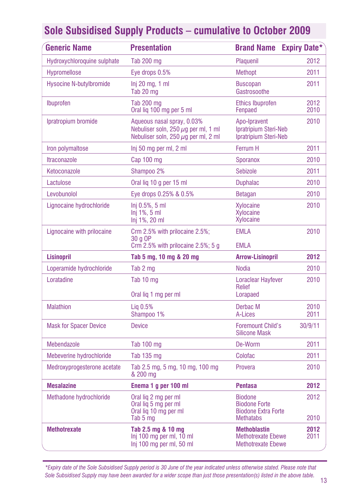| <b>Generic Name</b>            | <b>Presentation</b>                                                                                                | <b>Brand Name</b>                                                                        | <b>Expiry Date*</b> |
|--------------------------------|--------------------------------------------------------------------------------------------------------------------|------------------------------------------------------------------------------------------|---------------------|
| Hydroxychloroquine sulphate    | <b>Tab 200 mg</b>                                                                                                  | Plaquenil                                                                                | 2012                |
| <b>Hypromellose</b>            | Eye drops 0.5%                                                                                                     | <b>Methopt</b>                                                                           | 2011                |
| <b>Hysocine N-butylbromide</b> | $Inj 20$ mg, 1 ml<br>Tab 20 mg                                                                                     | <b>Buscopan</b><br>Gastrosoothe                                                          | 2011                |
| Ibuprofen                      | <b>Tab 200 mg</b><br>Oral lig 100 mg per 5 ml                                                                      | <b>Ethics Ibuprofen</b><br>Fenpaed                                                       | 2012<br>2010        |
| Ipratropium bromide            | Aqueous nasal spray, 0.03%<br>Nebuliser soln, 250 $\mu$ g per ml, 1 ml<br>Nebuliser soln, 250 $\mu$ g per ml, 2 ml | Apo-Ipravent<br>Ipratripium Steri-Neb<br>Ipratripium Steri-Neb                           | 2010                |
| Iron polymaltose               | Inj 50 mg per ml, 2 ml                                                                                             | Ferrum H                                                                                 | 2011                |
| <b>Itraconazole</b>            | Cap 100 mg                                                                                                         | Sporanox                                                                                 | 2010                |
| Ketoconazole                   | Shampoo 2%                                                                                                         | <b>Sebizole</b>                                                                          | 2011                |
| Lactulose                      | Oral lig 10 g per 15 ml                                                                                            | <b>Duphalac</b>                                                                          | 2010                |
| Levobunolol                    | Eye drops 0.25% & 0.5%                                                                                             | <b>Betagan</b>                                                                           | 2010                |
| Lignocaine hydrochloride       | Ini 0.5%, 5 ml<br>$Inj 1\%$ , 5 ml<br>Inj 1%, 20 ml                                                                | <b>Xylocaine</b><br>Xvlocaine<br>Xylocaine                                               | 2010                |
| Lignocaine with prilocaine     | Crm 2.5% with prilocaine 2.5%;<br>30 g OP<br>Crm $2.5\%$ with prilocaine $2.5\%$ ; 5 g                             | <b>EMLA</b><br><b>EMLA</b>                                                               | 2010                |
| <b>Lisinopril</b>              | Tab 5 mg, 10 mg & 20 mg                                                                                            | <b>Arrow-Lisinopril</b>                                                                  | 2012                |
| Loperamide hydrochloride       | Tab 2 mg                                                                                                           | <b>Nodia</b>                                                                             | 2010                |
| Loratadine                     | Tab 10 mg<br>Oral lig 1 mg per ml                                                                                  | <b>Loraclear Hayfever</b><br>Relief<br>Lorapaed                                          | 2010                |
| <b>Malathion</b>               | Lig 0.5%<br>Shampoo 1%                                                                                             | Derbac M<br>A-Lices                                                                      | 2010<br>2011        |
| <b>Mask for Spacer Device</b>  | <b>Device</b>                                                                                                      | <b>Foremount Child's</b><br><b>Silicone Mask</b>                                         | 30/9/11             |
| Mebendazole                    | Tab 100 mg                                                                                                         | De-Worm                                                                                  | 2011                |
| Mebeverine hydrochloride       | Tab 135 mg                                                                                                         | Colofac                                                                                  | 2011                |
| Medroxyprogesterone acetate    | Tab 2.5 mg, 5 mg, 10 mg, 100 mg<br>& 200 mg                                                                        | Provera                                                                                  | 2010                |
| <b>Mesalazine</b>              | Enema 1 q per 100 ml                                                                                               | <b>Pentasa</b>                                                                           | 2012                |
| Methadone hydrochloride        | Oral lig 2 mg per ml<br>Oral lig 5 mg per ml<br>Oral lig 10 mg per ml<br>Tab 5 mg                                  | <b>Biodone</b><br><b>Biodone Forte</b><br><b>Biodone Extra Forte</b><br><b>Methatabs</b> | 2012<br>2010        |
| <b>Methotrexate</b>            | Tab 2.5 mg & 10 mg<br>Inj 100 mg per ml, 10 ml<br>Inj 100 mg per ml, 50 ml                                         | <b>Methoblastin</b><br><b>Methotrexate Ebewe</b><br><b>Methotrexate Ebewe</b>            | 2012<br>2011        |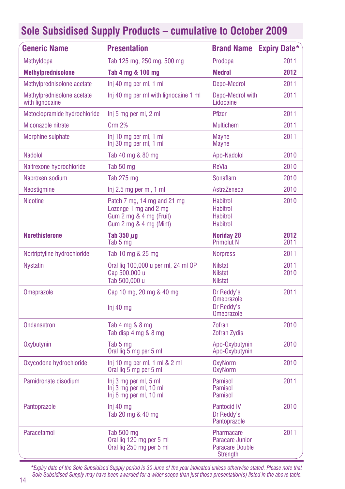| <b>Generic Name</b>                           | <b>Presentation</b>                                                                                       | <b>Brand Name</b>                                                                        | <b>Expiry Date*</b> |
|-----------------------------------------------|-----------------------------------------------------------------------------------------------------------|------------------------------------------------------------------------------------------|---------------------|
| Methyldopa                                    | Tab 125 mg, 250 mg, 500 mg                                                                                | Prodopa                                                                                  | 2011                |
| <b>Methylprednisolone</b>                     | Tab 4 mg & 100 mg                                                                                         | <b>Medrol</b>                                                                            | 2012                |
| Methylprednisolone acetate                    | Inj 40 mg per ml, 1 ml                                                                                    | Depo-Medrol                                                                              | 2011                |
| Methylprednisolone acetate<br>with lignocaine | Inj 40 mg per ml with lignocaine 1 ml                                                                     | Depo-Medrol with<br>Lidocaine                                                            | 2011                |
| Metoclopramide hydrochloride                  | Inj 5 mg per ml, 2 ml                                                                                     | Pfizer                                                                                   | 2011                |
| Miconazole nitrate                            | <b>Crm 2%</b>                                                                                             | <b>Multichem</b>                                                                         | 2011                |
| Morphine sulphate                             | Inj 10 mg per ml, 1 ml<br>Inj 30 mg per ml, 1 ml                                                          | <b>Mayne</b><br><b>Mayne</b>                                                             | 2011                |
| <b>Nadolol</b>                                | Tab 40 mg & 80 mg                                                                                         | Apo-Nadolol                                                                              | 2010                |
| Naltrexone hydrochloride                      | Tab 50 mg                                                                                                 | ReVia                                                                                    | 2010                |
| Naproxen sodium                               | Tab 275 mg                                                                                                | Sonaflam                                                                                 | 2010                |
| <b>Neostigmine</b>                            | Inj 2.5 mg per ml, 1 ml                                                                                   | AstraZeneca                                                                              | 2010                |
| <b>Nicotine</b>                               | Patch 7 mg, 14 mg and 21 mg<br>Lozenge 1 mg and 2 mg<br>Gum 2 mg & 4 mg (Fruit)<br>Gum 2 mg & 4 mg (Mint) | <b>Habitrol</b><br><b>Habitrol</b><br><b>Habitrol</b><br><b>Habitrol</b>                 | 2010                |
| <b>Norethisterone</b>                         | Tab $350 \mu q$<br>Tab 5 mg                                                                               | <b>Noriday 28</b><br><b>Primolut N</b>                                                   | 2012<br>2011        |
| Nortriptyline hydrochloride                   | Tab 10 mg & 25 mg                                                                                         | <b>Norpress</b>                                                                          | 2011                |
| <b>Nystatin</b>                               | Oral lig 100,000 u per ml, 24 ml OP<br>Cap 500,000 u<br>Tab 500,000 u                                     | <b>Nilstat</b><br><b>Nilstat</b><br><b>Nilstat</b>                                       | 2011<br>2010        |
| <b>Omeprazole</b>                             | Cap 10 mg, 20 mg & 40 mg<br>$Inj$ 40 mg                                                                   | Dr Reddy's<br><b>Omeprazole</b><br>Dr Reddy's<br><b>Omeprazole</b>                       | 2011                |
| <b>Ondansetron</b>                            | Tab 4 mg & 8 mg<br>Tab disp 4 mg & 8 mg                                                                   | Zofran<br><b>Zofran Zydis</b>                                                            | 2010                |
| Oxybutynin                                    | Tab 5 mg<br>Oral lig 5 mg per 5 ml                                                                        | Apo-Oxybutynin<br>Apo-Oxybutynin                                                         | 2010                |
| Oxycodone hydrochloride                       | Inj 10 mg per ml, 1 ml $& 2$ ml<br>Oral lig 5 mg per 5 ml                                                 | <b>OxyNorm</b><br><b>OxyNorm</b>                                                         | 2010                |
| Pamidronate disodium                          | Inj 3 mg per ml, 5 ml<br>Inj 3 mg per ml, 10 ml<br>Inj 6 mg per ml, 10 ml                                 | Pamisol<br>Pamisol<br><b>Pamisol</b>                                                     | 2011                |
| Pantoprazole                                  | Ini 40 ma<br>Tab 20 mg & 40 mg                                                                            | <b>Pantocid IV</b><br>Dr Reddy's<br>Pantoprazole                                         | 2010                |
| Paracetamol                                   | Tab 500 mg<br>Oral lig 120 mg per 5 ml<br>Oral lig 250 mg per 5 ml                                        | <b>Pharmacare</b><br><b>Paracare Junior</b><br><b>Paracare Double</b><br><b>Strength</b> | 2011                |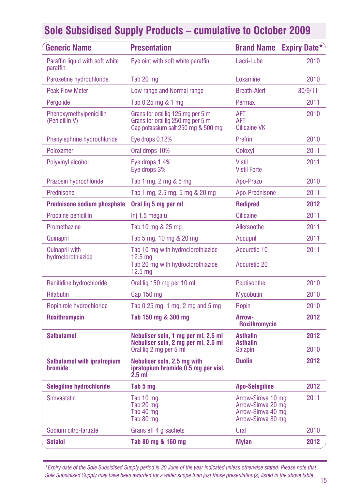| <b>Generic Name</b>                           | <b>Presentation</b>                                                                                                | <b>Brand Name Expiry Date*</b>                                                   |              |
|-----------------------------------------------|--------------------------------------------------------------------------------------------------------------------|----------------------------------------------------------------------------------|--------------|
| Paraffin liquid with soft white<br>paraffin   | Eve oint with soft white paraffin                                                                                  | Lacri-Lube                                                                       | 2010         |
| Paroxetine hydrochloride                      | Tab 20 mg                                                                                                          | Loxamine                                                                         | 2010         |
| <b>Peak Flow Meter</b>                        | Low range and Normal range                                                                                         | <b>Breath-Alert</b>                                                              | 30/9/11      |
| Pergolide                                     | Tab 0.25 mg & 1 mg                                                                                                 | Permax                                                                           | 2011         |
| Phenoxymethylpenicillin<br>(Penicillin V)     | Grans for oral lig 125 mg per 5 ml<br>Grans for oral lig 250 mg per 5 ml<br>Cap potassium salt 250 mg & 500 mg     | AFT<br>AFT<br><b>Cilicaine VK</b>                                                | 2010         |
| Phenylephrine hydrochloride                   | Eye drops 0.12%                                                                                                    | Prefrin                                                                          | 2010         |
| Poloxamer                                     | Oral drops 10%                                                                                                     | Coloxyl                                                                          | 2011         |
| Polyvinyl alcohol                             | Eye drops 1.4%<br>Eye drops 3%                                                                                     | <b>Vistil</b><br><b>Vistil Forte</b>                                             | 2011         |
| Prazosin hydrochloride                        | Tab 1 mg, 2 mg & 5 mg                                                                                              | Apo-Prazo                                                                        | 2010         |
| Prednisone                                    | Tab 1 mg, 2.5 mg, 5 mg & 20 mg                                                                                     | Apo-Prednisone                                                                   | 2011         |
| <b>Prednisone sodium phosphate</b>            | Oral lig 5 mg per ml                                                                                               | <b>Redipred</b>                                                                  | 2012         |
| Procaine penicillin                           | lnj 1.5 mega u                                                                                                     | <b>Cilicaine</b>                                                                 | 2011         |
| Promethazine                                  | Tab 10 mg & 25 mg                                                                                                  | Allersoothe                                                                      | 2011         |
| Quinapril                                     | Tab 5 mg, 10 mg & 20 mg                                                                                            | Accupril                                                                         | 2011         |
| <b>Quinapril with</b><br>hydroclorothiazide   | Tab 10 mg with hydroclorothiazide<br>12.5 <sub>ma</sub><br>Tab 20 mg with hydroclorothiazide<br>12.5 <sub>mg</sub> | Accuretic 10<br><b>Accuretic 20</b>                                              | 2011         |
| Ranitidine hydrochloride                      | Oral lig 150 mg per 10 ml                                                                                          | Peptisoothe                                                                      | 2010         |
| Rifabutin                                     | Cap 150 mg                                                                                                         | <b>Mycobutin</b>                                                                 | 2010         |
| Ropinirole hydrochloride                      | Tab 0.25 mg, 1 mg, 2 mg and 5 mg                                                                                   | Ropin                                                                            | 2010         |
| Roxithromycin                                 | Tab 150 mg & 300 mg                                                                                                | Arrow-<br>Roxithromycin                                                          | 2012         |
| <b>Salbutamol</b>                             | Nebuliser soln, 1 mg per ml, 2.5 ml<br>Nebuliser soln, 2 mg per ml, 2.5 ml<br>Oral liq 2 mg per 5 ml               | <b>Asthalin</b><br><b>Asthalin</b><br><b>Salapin</b>                             | 2012<br>2010 |
| <b>Salbutamol with ipratropium</b><br>bromide | Nebuliser soln, 2.5 mg with<br>ipratopium bromide 0.5 mg per vial,<br>$2.5$ ml                                     | <b>Duolin</b>                                                                    | 2012         |
| <b>Selegiline hydrochloride</b>               | Tab 5 mg                                                                                                           | <b>Apo-Selegiline</b>                                                            | 2012         |
| <b>Simvastatin</b>                            | Tab 10 mg<br>Tab 20 mg<br>Tab 40 mg<br>Tab 80 mg                                                                   | Arrow-Simva 10 mg<br>Arrow-Simva 20 mg<br>Arrow-Simva 40 mg<br>Arrow-Simva 80 mg | 2011         |
| Sodium citro-tartrate                         | Grans eff 4 g sachets                                                                                              | Ural                                                                             | 2010         |
| <b>Sotalol</b>                                | Tab 80 mg & 160 mg                                                                                                 | <b>Mylan</b>                                                                     | 2012         |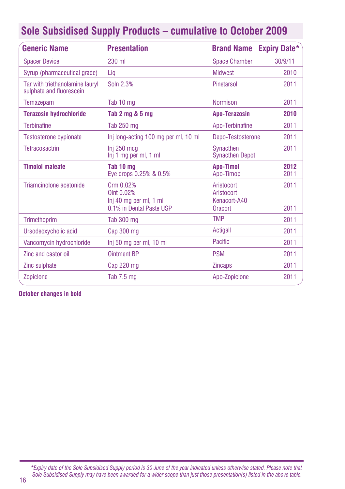|  |  |  |  | <b>Sole Subsidised Supply Products - cumulative to October 2009</b> |  |  |  |
|--|--|--|--|---------------------------------------------------------------------|--|--|--|
|--|--|--|--|---------------------------------------------------------------------|--|--|--|

| <b>Generic Name</b>                                         | <b>Presentation</b>                                                           | <b>Brand Name</b>                                   | <b>Expiry Date*</b> |
|-------------------------------------------------------------|-------------------------------------------------------------------------------|-----------------------------------------------------|---------------------|
| <b>Spacer Device</b>                                        | 230 ml                                                                        | <b>Space Chamber</b>                                | 30/9/11             |
| Syrup (pharmaceutical grade)                                | Lig                                                                           | <b>Midwest</b>                                      | 2010                |
| Tar with triethanolamine lauryl<br>sulphate and fluorescein | Soln 2.3%                                                                     | Pinetarsol                                          | 2011                |
| Temazepam                                                   | Tab 10 mg                                                                     | <b>Normison</b>                                     | 2011                |
| <b>Terazosin hydrochloride</b>                              | Tab 2 mg & 5 mg                                                               | <b>Apo-Terazosin</b>                                | 2010                |
| <b>Terbinafine</b>                                          | Tab 250 mg                                                                    | Apo-Terbinafine                                     | 2011                |
| <b>Testosterone cypionate</b>                               | Inj long-acting 100 mg per ml, 10 ml                                          | Depo-Testosterone                                   | 2011                |
| Tetracosactrin                                              | Inj 250 mcg<br>Inj 1 mg per ml, 1 ml                                          | Synacthen<br><b>Synacthen Depot</b>                 | 2011                |
| <b>Timolol maleate</b>                                      | Tab 10 mg<br>Eye drops 0.25% & 0.5%                                           | <b>Apo-Timol</b><br>Apo-Timop                       | 2012<br>2011        |
| Triamcinolone acetonide                                     | Crm 0.02%<br>Oint 0.02%<br>Inj 40 mg per ml, 1 ml<br>0.1% in Dental Paste USP | Aristocort<br>Aristocort<br>Kenacort-A40<br>Oracort | 2011<br>2011        |
| Trimethoprim                                                | Tab 300 mg                                                                    | <b>TMP</b>                                          | 2011                |
| Ursodeoxycholic acid                                        | Cap 300 mg                                                                    | Actigall                                            | 2011                |
| Vancomycin hydrochloride                                    | Inj 50 mg per ml, 10 ml                                                       | Pacific                                             | 2011                |
| Zinc and castor oil                                         | <b>Ointment BP</b>                                                            | <b>PSM</b>                                          | 2011                |
| Zinc sulphate                                               | Cap 220 mg                                                                    | <b>Zincaps</b>                                      | 2011                |
| Zopiclone                                                   | Tab 7.5 mg                                                                    | Apo-Zopiclone                                       | 2011                |

**October changes in bold**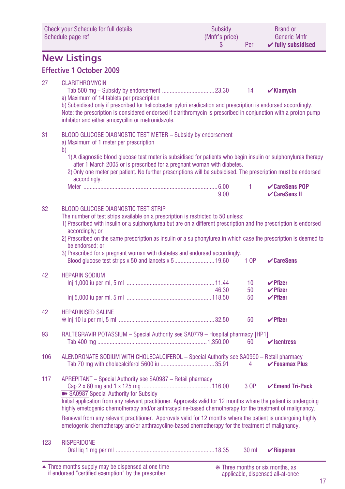| <b>Check your Schedule for full details</b><br>Schedule page ref |                                                                                                                                                                                                                                                                                                                                                                                                                                                                                                                                                            | <b>Subsidy</b><br>(Mnfr's price)<br>\$ | Per                   | <b>Brand or</b><br><b>Generic Mnfr</b><br>$\checkmark$ fully subsidised |  |  |  |
|------------------------------------------------------------------|------------------------------------------------------------------------------------------------------------------------------------------------------------------------------------------------------------------------------------------------------------------------------------------------------------------------------------------------------------------------------------------------------------------------------------------------------------------------------------------------------------------------------------------------------------|----------------------------------------|-----------------------|-------------------------------------------------------------------------|--|--|--|
| <b>New Listings</b>                                              |                                                                                                                                                                                                                                                                                                                                                                                                                                                                                                                                                            |                                        |                       |                                                                         |  |  |  |
|                                                                  | <b>Effective 1 October 2009</b>                                                                                                                                                                                                                                                                                                                                                                                                                                                                                                                            |                                        |                       |                                                                         |  |  |  |
| 27                                                               | <b>CLARITHROMYCIN</b><br>a) Maximum of 14 tablets per prescription<br>b) Subsidised only if prescribed for helicobacter pylori eradication and prescription is endorsed accordingly.<br>Note: the prescription is considered endorsed if clarithromycin is prescribed in conjunction with a proton pump<br>inhibitor and either amoxycillin or metronidazole.                                                                                                                                                                                              |                                        | 14                    | $\mathbf{v}$ Klamycin                                                   |  |  |  |
| 31                                                               | BLOOD GLUCOSE DIAGNOSTIC TEST METER - Subsidy by endorsement<br>a) Maximum of 1 meter per prescription<br>b)                                                                                                                                                                                                                                                                                                                                                                                                                                               |                                        |                       |                                                                         |  |  |  |
|                                                                  | 1) A diagnostic blood glucose test meter is subsidised for patients who begin insulin or sulphonylurea therapy<br>after 1 March 2005 or is prescribed for a pregnant woman with diabetes.<br>2) Only one meter per patient. No further prescriptions will be subsidised. The prescription must be endorsed<br>accordingly.                                                                                                                                                                                                                                 |                                        |                       |                                                                         |  |  |  |
|                                                                  |                                                                                                                                                                                                                                                                                                                                                                                                                                                                                                                                                            | 9.00                                   | 1.                    | $\mathcal V$ CareSens POP<br>$\checkmark$ CareSens II                   |  |  |  |
| 32                                                               | <b>BLOOD GLUCOSE DIAGNOSTIC TEST STRIP</b><br>The number of test strips available on a prescription is restricted to 50 unless:<br>1) Prescribed with insulin or a sulphonylurea but are on a different prescription and the prescription is endorsed<br>accordingly; or<br>2) Prescribed on the same prescription as insulin or a sulphonylurea in which case the prescription is deemed to<br>be endorsed: or<br>3) Prescribed for a pregnant woman with diabetes and endorsed accordingly.                                                              |                                        | 1 OP                  | $\vee$ CareSens                                                         |  |  |  |
| 42                                                               | <b>HEPARIN SODIUM</b>                                                                                                                                                                                                                                                                                                                                                                                                                                                                                                                                      | 46.30                                  | 10 <sup>°</sup><br>50 | $\boldsymbol{\mathsf{V}}$ Pfizer<br>$\checkmark$ Pfizer                 |  |  |  |
|                                                                  |                                                                                                                                                                                                                                                                                                                                                                                                                                                                                                                                                            |                                        | 50                    | $\boldsymbol{\mathsf{V}}$ Pfizer                                        |  |  |  |
| 42                                                               | <b>HEPARINISED SALINE</b>                                                                                                                                                                                                                                                                                                                                                                                                                                                                                                                                  |                                        | 50                    | $\checkmark$ Pfizer                                                     |  |  |  |
| 93                                                               | RALTEGRAVIR POTASSIUM - Special Authority see SA0779 - Hospital pharmacy [HP1]                                                                                                                                                                                                                                                                                                                                                                                                                                                                             |                                        | 60                    | $\mathbf{v}$ sentress                                                   |  |  |  |
| 106                                                              | ALENDRONATE SODIUM WITH CHOLECALCIFEROL - Special Authority see SA0990 - Retail pharmacy                                                                                                                                                                                                                                                                                                                                                                                                                                                                   |                                        | 4                     | $\checkmark$ Fosamax Plus                                               |  |  |  |
| 117                                                              | APREPITANT - Special Authority see SA0987 - Retail pharmacy<br>>> SA0987 Special Authority for Subsidy<br>Initial application from any relevant practitioner. Approvals valid for 12 months where the patient is undergoing<br>highly emetogenic chemotherapy and/or anthracycline-based chemotherapy for the treatment of malignancy.<br>Renewal from any relevant practitioner. Approvals valid for 12 months where the patient is undergoing highly<br>emetogenic chemotherapy and/or anthracycline-based chemotherapy for the treatment of malignancy. |                                        | 3 OP                  | $\checkmark$ Emend Tri-Pack                                             |  |  |  |
| 123                                                              | <b>RISPERIDONE</b>                                                                                                                                                                                                                                                                                                                                                                                                                                                                                                                                         |                                        | 30 ml                 | $\mathbf{\nabla}$ Risperon                                              |  |  |  |

Three months supply may be dispensed at one time if endorsed "certified exemption" by the prescriber. ▲ ❋ Three months or six months, as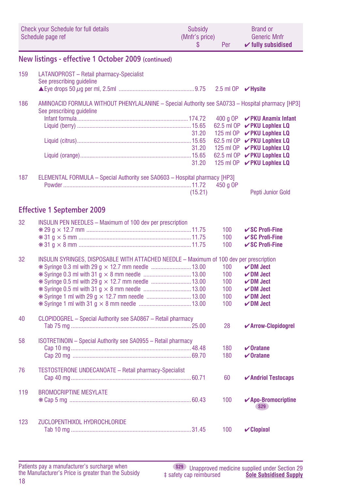|     | <b>Check your Schedule for full details</b><br>Schedule page ref                                                              | Subsidy<br>(Mnfr's price)<br>\$ | Per                      | <b>Brand or</b><br><b>Generic Mnfr</b><br>$\checkmark$ fully subsidised |
|-----|-------------------------------------------------------------------------------------------------------------------------------|---------------------------------|--------------------------|-------------------------------------------------------------------------|
|     | New listings - effective 1 October 2009 (continued)                                                                           |                                 |                          |                                                                         |
| 159 | LATANOPROST - Retail pharmacy-Specialist<br>See prescribing guideline                                                         |                                 |                          |                                                                         |
|     |                                                                                                                               |                                 | 2.5 ml OP <b>√Hysite</b> |                                                                         |
| 186 | AMINOACID FORMULA WITHOUT PHENYLALANINE - Special Authority see SA0733 - Hospital pharmacy [HP3]<br>See prescribing quideline |                                 |                          |                                                                         |
|     |                                                                                                                               |                                 | 400 g OP                 | <b>∠PKU Anamix Infant</b><br>62.5 ml OP <b>V PKU Lophlex LQ</b>         |
|     |                                                                                                                               | 31.20                           |                          | 125 ml OP <b>√ PKU Lophlex LQ</b>                                       |
|     |                                                                                                                               |                                 |                          | 62.5 ml OP  √ PKU Lophlex LQ                                            |
|     |                                                                                                                               | 31.20                           |                          | 125 ml OP <b>V PKU Lophlex LQ</b><br>62.5 ml OP <b>√ PKU Lophlex LQ</b> |
|     |                                                                                                                               | 31.20                           |                          | 125 ml OP <b>√ PKU Lophlex LQ</b>                                       |
| 187 | ELEMENTAL FORMULA - Special Authority see SA0603 - Hospital pharmacy [HP3]                                                    |                                 |                          |                                                                         |
|     |                                                                                                                               |                                 | 450 a OP                 |                                                                         |
|     |                                                                                                                               | (15.21)                         |                          | Pepti Junior Gold                                                       |
|     | <b>Effective 1 September 2009</b>                                                                                             |                                 |                          |                                                                         |
| 32  | <b>INSULIN PEN NEEDLES - Maximum of 100 dev per prescription</b>                                                              |                                 |                          |                                                                         |
|     |                                                                                                                               |                                 | 100<br>100               | $\vee$ SC Profi-Fine<br>$\vee$ SC Profi-Fine                            |
|     |                                                                                                                               |                                 | 100                      | $\vee$ SC Profi-Fine                                                    |
| 32  | INSULIN SYRINGES, DISPOSABLE WITH ATTACHED NEEDLE - Maximum of 100 dev per prescription                                       |                                 |                          |                                                                         |
|     |                                                                                                                               |                                 | 100                      | $\nu$ DM Ject                                                           |
|     |                                                                                                                               |                                 | 100                      | $\nu$ DM Ject                                                           |
|     |                                                                                                                               |                                 | 100                      | $\nu$ DM Ject                                                           |
|     |                                                                                                                               |                                 | 100                      | $\nu$ DM Ject                                                           |
|     |                                                                                                                               |                                 | 100<br>100               | $\nu$ DM Ject<br>$\nu$ DM Ject                                          |
|     |                                                                                                                               |                                 |                          |                                                                         |
| 40  | CLOPIDOGREL - Special Authority see SA0867 - Retail pharmacy                                                                  |                                 | 28                       | ✔ Arrow-Clopidogrel                                                     |
| 58  | ISOTRETINOIN - Special Authority see SA0955 - Retail pharmacy                                                                 |                                 |                          |                                                                         |
|     |                                                                                                                               |                                 | 180<br>180               | $\vee$ Oratane<br>$\boldsymbol{\nu}$ Oratane                            |
|     |                                                                                                                               |                                 |                          |                                                                         |
| 76  | <b>TESTOSTERONE UNDECANOATE - Retail pharmacy-Specialist</b>                                                                  |                                 | 60                       | $\boldsymbol{\checkmark}$ Andriol Testocaps                             |
| 119 | <b>BROMOCRIPTINE MESYLATE</b>                                                                                                 |                                 |                          |                                                                         |
|     |                                                                                                                               |                                 | 100                      | ✔ Apo-Bromocriptine<br>S29                                              |
| 123 | ZUCLOPENTHIXOL HYDROCHLORIDE                                                                                                  |                                 |                          |                                                                         |
|     |                                                                                                                               |                                 | 100                      | $\mathcal V$ Clopixol                                                   |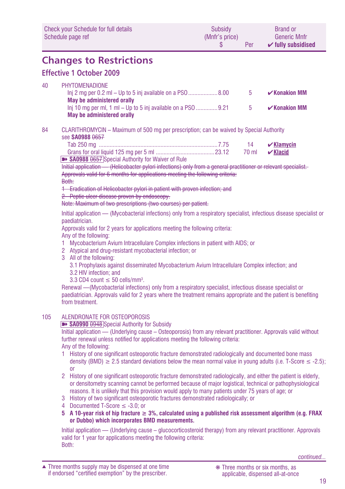| Check your Schedule for full details | Subsidy        | <b>Brand or</b>               |
|--------------------------------------|----------------|-------------------------------|
| Schedule page ref                    | (Mnfr's price) | <b>Generic Mnfr</b>           |
|                                      | Per            | $\checkmark$ fully subsidised |

### **Changes to Restrictions**

### **Effective 1 October 2009**

#### 40 PHYTOMENADIONE

|                                                                                                                              | -5 | $\mathcal{V}$ Konakion MM |
|------------------------------------------------------------------------------------------------------------------------------|----|---------------------------|
| May be administered orally<br>$\ln i$ 10 mg per ml, 1 ml – Up to 5 inj available on a PSO 9.21<br>May be administered orally | -5 | $\mathcal{V}$ Konakion MM |

#### 84 CLARITHROMYCIN – Maximum of 500 mg per prescription; can be waived by Special Authority see **SA0988** 0657

|                                                                 | 14 | $\boldsymbol{\nu}$ Klamycin |
|-----------------------------------------------------------------|----|-----------------------------|
|                                                                 |    | 70 ml $\mathcal{V}$ Klacid  |
| <b>EXAMPLE SAO988 0657</b> Special Authority for Waiver of Rule |    |                             |

Initial application — (Helicobacter pylori infections) only from a general practitioner or relevant specialist. Approvals valid for 6 months for applications meeting the following criteria:

#### Both:

1 Eradication of Helicobacter pylori in patient with proven infection; and

2 Peptic ulcer disease proven by endoscopy.

Note: Maximum of two prescriptions (two courses) per patient.

Initial application — (Mycobacterial infections) only from a respiratory specialist, infectious disease specialist or paediatrician.

Approvals valid for 2 years for applications meeting the following criteria: Any of the following:

1 Mycobacterium Avium Intracellulare Complex infections in patient with AIDS; or

- 2 Atypical and drug-resistant mycobacterial infection; or
- 3 All of the following:

3.1 Prophylaxis against disseminated Mycobacterium Avium Intracellulare Complex infection; and 3.2 HIV infection; and

 $3.3 \text{ CD4 count} \leq 50 \text{ cells/mm}^3$ .

Renewal —(Mycobacterial infections) only from a respiratory specialist, infectious disease specialist or paediatrician. Approvals valid for 2 years where the treatment remains appropriate and the patient is benefiting from treatment.

#### 105 ALENDRONATE FOR OSTEOPOROSIS

**EXAMPED AND IN SA0990 0948** Special Authority for Subsidy

Initial application — (Underlying cause – Osteoporosis) from any relevant practitioner. Approvals valid without further renewal unless notified for applications meeting the following criteria: Any of the following:

- 1 History of one significant osteoporotic fracture demonstrated radiologically and documented bone mass density (BMD)  $\geq$  2.5 standard deviations below the mean normal value in young adults (i.e. T-Score  $\leq$  -2.5); or
- 2 History of one significant osteoporotic fracture demonstrated radiologically, and either the patient is elderly, or densitometry scanning cannot be performed because of major logistical, technical or pathophysiological reasons. It is unlikely that this provision would apply to many patients under 75 years of age; or
- 3 History of two significant osteoporotic fractures demonstrated radiologically; or
- 4 Documented T-Score ≤ -3.0; or
- **5 A 10-year risk of hip fracture ≥ 3%, calculated using a published risk assessment algorithm (e.g. FRAX or Dubbo) which incorporates BMD measurements.**

Initial application — (Underlying cause – glucocorticosteroid therapy) from any relevant practitioner. Approvals valid for 1 year for applications meeting the following criteria: Both: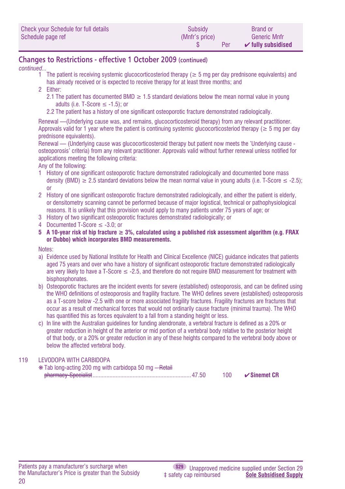| Check your Schedule for full details | Subsidy        | <b>Brand or</b>               |
|--------------------------------------|----------------|-------------------------------|
| Schedule page ref                    | (Mnfr's price) | <b>Generic Mnfr</b>           |
|                                      | Per            | $\mathcal V$ fully subsidised |

### **Changes to Restrictions - effective 1 October 2009 (continued)**

#### *continued...*

- 1 The patient is receiving systemic glucocorticosteriod therapy (≥ 5 mg per day prednisone equivalents) and has already received or is expected to receive therapy for at least three months; and
- 2 Either:
	- 2.1 The patient has documented BMD  $\geq$  1.5 standard deviations below the mean normal value in young adults (i.e. T-Score  $\leq$  -1.5); or
	- 2.2 The patient has a history of one significant osteoporotic fracture demonstrated radiologically.

Renewal — (Underlying cause was, and remains, glucocorticosteroid therapy) from any relevant practitioner. Approvals valid for 1 year where the patient is continuing systemic glucocorticosteriod therapy ( $\geq 5$  mg per day prednisone equivalents).

Renewal — (Underlying cause was glucocorticosteroid therapy but patient now meets the 'Underlying cause osteoporosis' criteria) from any relevant practitioner. Approvals valid without further renewal unless notified for applications meeting the following criteria:

Any of the following:

- 1 History of one significant osteoporotic fracture demonstrated radiologically and documented bone mass density (BMD)  $\geq$  2.5 standard deviations below the mean normal value in young adults (i.e. T-Score  $\leq$  -2.5); or
- 2 History of one significant osteoporotic fracture demonstrated radiologically, and either the patient is elderly, or densitometry scanning cannot be performed because of major logistical, technical or pathophysiological reasons. It is unlikely that this provision would apply to many patients under 75 years of age; or
- 3 History of two significant osteoporotic fractures demonstrated radiologically; or
- 4 Documented T-Score ≤ -3.0; or
- **5 A 10-year risk of hip fracture ≥ 3%, calculated using a published risk assessment algorithm (e.g. FRAX or Dubbo) which incorporates BMD measurements.**

#### Notes:

- a) Evidence used by National Institute for Health and Clinical Excellence (NICE) guidance indicates that patients aged 75 years and over who have a history of significant osteoporotic fracture demonstrated radiologically are very likely to have a T-Score  $\leq$  -2.5, and therefore do not require BMD measurement for treatment with bisphosphonates.
- b) Osteoporotic fractures are the incident events for severe (established) osteoporosis, and can be defined using the WHO definitions of osteoporosis and fragility fracture. The WHO defines severe (established) osteoporosis as a T-score below -2.5 with one or more associated fragility fractures. Fragility fractures are fractures that occur as a result of mechanical forces that would not ordinarily cause fracture (minimal trauma). The WHO has quantified this as forces equivalent to a fall from a standing height or less.
- c) In line with the Australian guidelines for funding alendronate, a vertebral fracture is defined as a 20% or greater reduction in height of the anterior or mid portion of a vertebral body relative to the posterior height of that body, or a 20% or greater reduction in any of these heights compared to the vertebral body above or below the affected vertebral body.

#### 119 LEVODOPA WITH CARBIDOPA

❋ Tab long-acting 200 mg with carbidopa 50 mg – Retail pharmacy-Specialist................................................................47.50 100 ✔**Sinemet CR**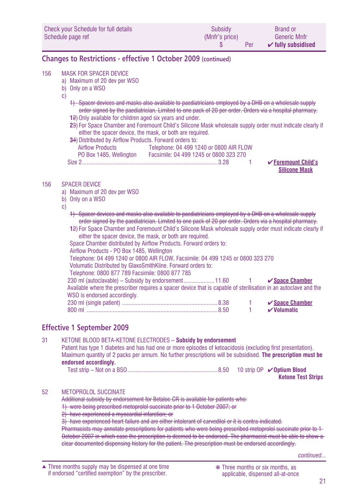| Check your Schedule for full details | <b>Subsidy</b> | <b>Brand or</b>               |
|--------------------------------------|----------------|-------------------------------|
| Schedule page ref                    | (Mnfr's price) | <b>Generic Mnfr</b>           |
|                                      | Per            | $\checkmark$ fully subsidised |

### **Changes to Restrictions - effective 1 October 2009 (continued)**

#### 156 MASK FOR SPACER DEVICE

- a) Maximum of 20 dev per WSO
- b) Only on a WSO
- c)
	- 1) Spacer devices and masks also available to paediatricians employed by a DHB on a wholesale supply order signed by the paediatrician. Limited to one pack of 20 per order. Orders via a hospital pharmacy.
	- **1**2) Only available for children aged six years and under.
	- **2**3) For Space Chamber and Foremount Child's Silicone Mask wholesale supply order must indicate clearly if either the spacer device, the mask, or both are required.

| 34) Distributed by Airflow Products. Forward orders to: |                                         |
|---------------------------------------------------------|-----------------------------------------|
| <b>Airflow Products</b>                                 | Telephone: 04 499 1240 or 0800 AIR FLOW |
| PO Box 1485, Wellington                                 | Facsimile: 04 499 1245 or 0800 323 270  |
| Size 2                                                  |                                         |

#### 156 SPACER DEVICE

- a) Maximum of 20 dev per WSO
- b) Only on a WSO

c)

- 1) Spacer devices and masks also available to paediatricians employed by a DHB on a wholesale supply order signed by the paediatrician. Limited to one pack of 20 per order. Orders via a hospital pharmacy.
- **1**2) For Space Chamber and Foremount Child's Silicone Mask wholesale supply order must indicate clearly if either the spacer device, the mask, or both are required.

Space Chamber distributed by Airflow Products. Forward orders to:

Airflow Products - PO Box 1485, Wellington

Telephone: 04 499 1240 or 0800 AIR FLOW, Facsimile: 04 499 1245 or 0800 323 270

Volumatic Distributed by GlaxoSmithKline. Forward orders to:

|  | Telephone: 0800 877 789 Facsimile: 0800 877 785 |  |
|--|-------------------------------------------------|--|
|  |                                                 |  |

| 230 ml (autoclavable) – Subsidy by endorsement11.60 1                                                            |      | $\checkmark$ Space Chamber          |
|------------------------------------------------------------------------------------------------------------------|------|-------------------------------------|
| Available where the prescriber requires a spacer device that is capable of sterilisation in an autoclave and the |      |                                     |
| WSO is endorsed accordingly.                                                                                     |      |                                     |
|                                                                                                                  | $-1$ | $\checkmark$ Space Chamber          |
|                                                                                                                  |      | $\boldsymbol{\mathsf{v}}$ Volumatic |

### **Effective 1 September 2009**

31 KETONE BLOOD BETA-KETONE ELECTRODES **– Subsidy by endorsement** Patient has type 1 diabetes and has had one or more episodes of ketoacidosis (excluding first presentation). Maximum quantity of 2 packs per annum. No further prescriptions will be subsidised. **The prescription must be endorsed accordingly.** Test strip – Not on a BSO ..........................................................8.50 10 strip OP ✔**Optium Blood Ketone Test Strips**

#### 52 METOPROLOL SUCCINATE

Additional subsidy by endorsement for Betaloc CR is available for patients who:

1) were being prescribed metoprolol succinate prior to 1 October 2007; or

2) have experienced a myocardial infarction; or

3) have experienced heart failure and are either intolerant of carvedilol or it is contra-indicated.

Pharmacists may annotate prescriptions for patients who were being prescribed metoprolol succinate prior to 1-October 2007 in which case the prescription is deemed to be endorsed. The pharmacist must be able to show a clear documented dispensing history for the patient. The prescription must be endorsed accordingly.

**∠ Foremount Child's Silicone Mask**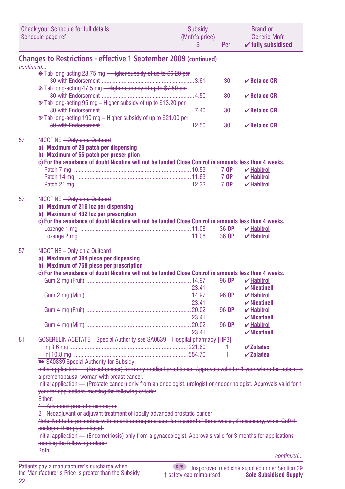|           | Check your Schedule for full details<br>Schedule page ref                                                                                                                                                                             | Subsidy<br>(Mnfr's price)<br>S | Per            | <b>Brand or</b><br><b>Generic Mnfr</b><br>$\checkmark$ fully subsidised  |
|-----------|---------------------------------------------------------------------------------------------------------------------------------------------------------------------------------------------------------------------------------------|--------------------------------|----------------|--------------------------------------------------------------------------|
|           | <b>Changes to Restrictions - effective 1 September 2009 (continued)</b>                                                                                                                                                               |                                |                |                                                                          |
| continued |                                                                                                                                                                                                                                       |                                |                |                                                                          |
|           | * Tab long-acting 23.75 mg - Higher subsidy of up to \$6.20 per                                                                                                                                                                       |                                |                |                                                                          |
|           |                                                                                                                                                                                                                                       |                                | 30             | $\vee$ Betaloc CR                                                        |
|           | * Tab long-acting 47.5 mg - Higher subsidy of up to \$7.80 per                                                                                                                                                                        |                                |                |                                                                          |
|           |                                                                                                                                                                                                                                       |                                | 30             | $\vee$ Betaloc CR                                                        |
|           | * Tab long-acting 95 mg - Higher subsidy of up to \$13.20 per                                                                                                                                                                         |                                |                |                                                                          |
|           |                                                                                                                                                                                                                                       |                                | 30             | $\vee$ Betaloc CR                                                        |
|           | * Tab long-acting 190 mg – Higher subsidy of up to \$21.00 per                                                                                                                                                                        |                                | 30             | $\vee$ Betaloc CR                                                        |
|           |                                                                                                                                                                                                                                       |                                |                |                                                                          |
| 57        | NICOTINE <del>- Only on a Quitcard</del><br>a) Maximum of 28 patch per dispensing<br>b) Maximum of 56 patch per prescription<br>c) For the avoidance of doubt Nicotine will not be funded Close Control in amounts less than 4 weeks. |                                |                |                                                                          |
|           |                                                                                                                                                                                                                                       |                                | 7 OP           | $\boldsymbol{\mathsf{v}}$ Habitrol                                       |
|           |                                                                                                                                                                                                                                       |                                | 7 OP           | $\boldsymbol{\mathsf{v}}$ Habitrol                                       |
|           |                                                                                                                                                                                                                                       |                                | 7 OP           | $\boldsymbol{\checkmark}$ Habitrol                                       |
| 57        | NICOTINE - Only on a Quitcard<br>a) Maximum of 216 loz per dispensing<br>b) Maximum of 432 loz per prescription<br>c) For the avoidance of doubt Nicotine will not be funded Close Control in amounts less than 4 weeks.              |                                | 36 OP<br>36 OP | $\boldsymbol{\mathsf{v}}$ Habitrol<br>$\boldsymbol{\mathsf{v}}$ Habitrol |
| 57        | NICOTINE - Only on a Quitcard<br>a) Maximum of 384 piece per dispensing<br>b) Maximum of 768 piece per prescription<br>c) For the avoidance of doubt Nicotine will not be funded Close Control in amounts less than 4 weeks.          |                                | 96 OP          | $\boldsymbol{\mathsf{v}}$ Habitrol                                       |
|           |                                                                                                                                                                                                                                       | 23.41                          |                | $\boldsymbol{\checkmark}$ Nicotinell                                     |
|           |                                                                                                                                                                                                                                       | 23.41                          | 96 OP          | $\boldsymbol{\mathsf{v}}$ Habitrol                                       |
|           |                                                                                                                                                                                                                                       |                                | 96 OP          | $\boldsymbol{\checkmark}$ Nicotinell<br>$\mathbf{v}$ Habitrol            |
|           |                                                                                                                                                                                                                                       | 23.41                          |                | $\boldsymbol{\checkmark}$ Nicotinell                                     |
|           |                                                                                                                                                                                                                                       |                                | 96 OP          | $\boldsymbol{\mathsf{v}}$ Habitrol                                       |
|           |                                                                                                                                                                                                                                       | 23.41                          |                | $\boldsymbol{\checkmark}$ Nicotinell                                     |
| 81        | GOSERELIN ACETATE - Special Authority see SA0839 - Hospital pharmacy [HP3]                                                                                                                                                            |                                |                |                                                                          |
|           |                                                                                                                                                                                                                                       |                                | 1              | $\boldsymbol{\checkmark}$ Zoladex                                        |
|           |                                                                                                                                                                                                                                       |                                | 1              | $\boldsymbol{\checkmark}$ Zoladex                                        |
|           | <b>B&gt; SA0839</b> Special Authority for Subsidy                                                                                                                                                                                     |                                |                |                                                                          |
|           | Initial application - (Breast cancer) from any medical practitioner. Approvals valid for 1 year where the patient is<br>a premenopausal woman with breast cancer.                                                                     |                                |                |                                                                          |
|           | Initial application - (Prostate cancer) only from an oncologist, urologist or endocrinologist. Approvals valid for 1                                                                                                                  |                                |                |                                                                          |
|           | year for applications meeting the following criteria:                                                                                                                                                                                 |                                |                |                                                                          |
|           | Either:                                                                                                                                                                                                                               |                                |                |                                                                          |
|           | 1 Advanced prostatic cancer; or                                                                                                                                                                                                       |                                |                |                                                                          |
|           | 2 Neoadjuvant or adjuvant treatment of locally advanced prostatic cancer.                                                                                                                                                             |                                |                |                                                                          |
|           | <u>Note: Not to be prescribed with an anti-androgen except for a period of three weeks, if necessary, when GnRH-</u>                                                                                                                  |                                |                |                                                                          |
|           | analogue therapy is intiated.                                                                                                                                                                                                         |                                |                |                                                                          |
|           | Initial application - (Endometriosis) only from a gynaecologist. Approvals valid for 3 months for applications-                                                                                                                       |                                |                |                                                                          |
|           | meeting the following criteria:                                                                                                                                                                                                       |                                |                |                                                                          |
|           | <del>Both:</del>                                                                                                                                                                                                                      |                                |                | continued                                                                |
|           | Patients pay a manufacturer's surcharge when                                                                                                                                                                                          |                                |                | (\$29) Unannroyed medicine sunnlied under Section 29                     |

22 the Manufacturer's Price is greater than the Subsidy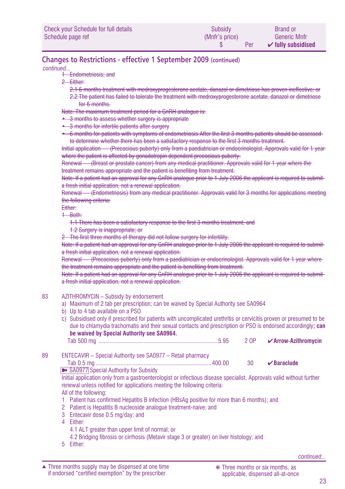| Check your Schedule for full details | Subsidy        | <b>Brand or</b>               |
|--------------------------------------|----------------|-------------------------------|
| Schedule page ref                    | (Mnfr's price) | <b>Generic Mnfr</b>           |
|                                      | Per            | $\checkmark$ fully subsidised |

### **Changes to Restrictions - effective 1 September 2009 (continued)**

*continued...*

- <sup>2</sup> Endometriosis; and
- 2 Either:
	- 2.1 6 months treatment with medroxyprogesterone acetate, danazol or dimetriose has proven ineffective; or
	- 2.2 The patient has failed to tolerate the treatment with medroxyprogesterone acetate, danazol or dimetriose for 6 months.

Note: The maximum treatment period for a GnRH analogue is:

- 3 months to assess whether surgery is appropriate
- 3 months for infertile patients after surgery
- 6 months for patients with symptoms of endometriosis After the first 3 months patients should be assessed to determine whether there has been a satisfactory response to the first 3 months treatment.

Initial application — (Precocious puberty) only from a paediatrician or endocrinologist. Approvals valid for 1 year where the patient is affected by gonadotropin dependent precocious puberty.

Renewal — (Breast or prostate cancer) from any medical practitioner. Approvals valid for 1 year where the treatment remains appropriate and the patient is benefiting from treatment.

Note: If a patient had an approval for any GnRH analogue prior to 1 July 2006 the applicant is required to submita fresh initial application, not a renewal application.

Renewal — (Endometriosis) from any medical practitioner. Approvals valid for 3 months for applications meeting the following criteria:

Either:

1 Both:

1.1 There has been a satisfactory response to the first 3 months treatment; and

1.2 Surgery is inappropriate; or

2 The first three months of therapy did not follow surgery for infertility.

Note: If a patient had an approval for any GnRH analogue prior to 1 July 2006 the applicant is required to submita fresh initial application, not a renewal application.

Renewal — (Precocious puberty) only from a paediatrician or endocrinologist. Approvals valid for 1 year where the treatment remains appropriate and the patient is benefiting from treatment.

Note: If a patient had an approval for any GnRH analogue prior to 1 July 2006 the applicant is required to submita fresh initial application, not a renewal application.

#### 83 AZITHROMYCIN – Subsidy by endorsement

- a) Maximum of 2 tab per prescription; can be waived by Special Authority see SA0964
- b) Up to 4 tab available on a PSO
- c) Subsidised only if prescribed for patients with uncomplicated urethritis or cervicitis proven or presumed to be due to chlamydia trachomatis and their sexual contacts and prescription or PSO is endorsed accordingly**; can be waived by Special Authority see SA0964.**

Tab 500 mg .............................................................................5.95 2 OP ✔**Arrow-Azithromycin**

89 ENTECAVIR – Special Authority see SA0977 – Retail pharmacy

Tab 0.5 mg ...........................................................................400.00 30 ✔**Baraclude**

■ SA0977 Special Authority for Subsidy

Initial application only from a gastroenterologist or infectious disease specialist. Approvals valid without further renewal unless notified for applications meeting the following criteria: All of the following:

- 1 Patient has confirmed Hepatitis B infection (HBsAg positive for more than 6 months); and
- 2 Patient is Hepatitis B nucleoside analogue treatment-naive; and
- 3 Entecavir dose 0.5 mg/day; and

4 Either:

- 4.1 ALT greater than upper limit of normal; or
- 4.2 Bridging fibrosis or cirrhosis (Metavir stage 3 or greater) on liver histology; and
- 5 Either: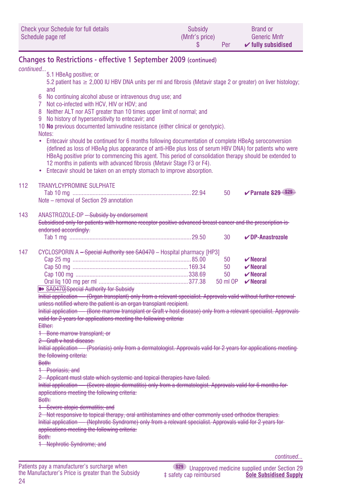| Check your Schedule for full details | Subsidy        | <b>Brand or</b>               |
|--------------------------------------|----------------|-------------------------------|
| Schedule page ref                    | (Mnfr's price) | <b>Generic Mnfr</b>           |
|                                      | Per            | $\checkmark$ fully subsidised |

### **Changes to Restrictions - effective 1 September 2009 (continued)**

*continued...*

5.1 HBeAg positive; or 5.2 patient has ≥ 2,000 IU HBV DNA units per ml and fibrosis (Metavir stage 2 or greater) on liver histology; and 6 No continuing alcohol abuse or intravenous drug use; and 7 Not co-infected with HCV, HIV or HDV; and 8 Neither ALT nor AST greater than 10 times upper limit of normal; and 9 No history of hypersensitivity to entecavir; and 10 **No** previous documented lamivudine resistance (either clinical or genotypic). Notes: • Entecavir should be continued for 6 months following documentation of complete HBeAg seroconversion (defined as loss of HBeAg plus appearance of anti-HBe plus loss of serum HBV DNA) for patients who were HBeAg positive prior to commencing this agent. This period of consolidation therapy should be extended to 12 months in patients with advanced fibrosis (Metavir Stage F3 or F4). • Entecavir should be taken on an empty stomach to improve absorption. 112 TRANYLCYPROMINE SULPHATE Tab 10 mg .............................................................................22.94 50 ✔**Parnate S29 S29** Note – removal of Section 29 annotation 143 ANASTROZOLE-DP - Subsidy by endorsement Subsidised only for patients with hormone receptor positive advanced breast cancer and the prescription is endorsed accordingly. Tab 1 mg ...............................................................................29.50 30 ✔**DP-Anastrozole** 147 CYCLOSPORIN A - Special Authority see SA0470 - Hospital pharmacy [HP3] Cap 25 mg .............................................................................85.00 50 ✔**Neoral** Cap 50 mg ...........................................................................169.34 50 ✔**Neoral** Cap 100 mg .........................................................................338.69 50 ✔**Neoral** Oral liq 100 mg per ml ..........................................................377.38 50 ml OP ✔**Neoral EXAMBLE SADATO** Special Authority for Subsidy Initial application — (Organ transplant) only from a relevant specialist. Approvals valid without further renewal unless notified where the patient is an organ transplant recipient. Initial application — (Bone marrow transplant or Graft v host disease) only from a relevant specialist. Approvals valid for 2 years for applications meeting the following criteria: Either: 1 Bone marrow transplant; or 2 Graft v host disease. Initial application — (Psoriasis) only from a dermatologist. Approvals valid for 2 years for applications meeting the following criteria: Both: 1 Psoriasis; and 2 Applicant must state which systemic and topical therapies have failed. Initial application — (Severe atopic dermatitis) only from a dermatologist. Approvals valid for 6 months for applications meeting the following criteria: Both: 1 Severe atopic dermatitis; and 2 Not responsive to topical therapy, oral antihistamines and other commonly used orthodox therapies. Initial application — (Nephrotic Syndrome) only from a relevant specialist. Approvals valid for 2 years for applications meeting the following criteria: Both: 1 Nephrotic Syndrome; and

*continued...*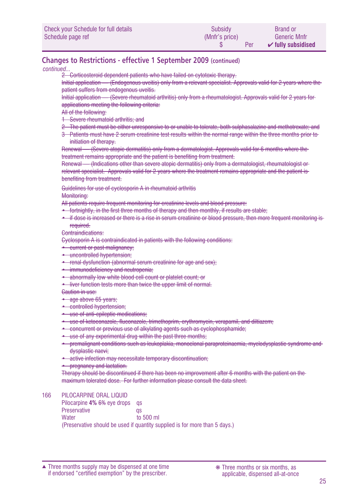| Check your Schedule for full details | Subsidy        | <b>Brand or</b>               |
|--------------------------------------|----------------|-------------------------------|
| Schedule page ref                    | (Mnfr's price) | Generic Mnfr                  |
|                                      | Per            | $\checkmark$ fully subsidised |

### **Changes to Restrictions - effective 1 September 2009 (continued)**

*continued...*

2 Corticosteroid dependent patients who have failed on cytotoxic therapy.

Initial application — (Endogenous uveitis) only from a relevant specialist. Approvals valid for 2 years where the patient suffers from endogenous uveitis.

Initial application — (Severe rheumatoid arthritis) only from a rheumatologist. Approvals valid for 2 years for applications meeting the following criteria:

All of the following:

- 1 Severe rheumatoid arthritis; and
- 2 The patient must be either unresponsive to or unable to tolerate, both sulphasalazine and methotrexate; and
- 3 Patients must have 2 serum creatinine test results within the normal range within the three months prior to initiation of therapy.

Renewal — (Severe atopic dermatitis) only from a dermatologist. Approvals valid for 6 months where the treatment remains appropriate and the patient is benefiting from treatment.

Renewal — (Indications other than severe atopic dermatitis) only from a dermatologist, rheumatologist or relevant specialist. Approvals valid for 2 years where the treatment remains appropriate and the patient is benefiting from treatment.

Guidelines for use of cyclosporin A in rheumatoid arthritis

Monitoring:

All patients require frequent monitoring for creatinine levels and blood pressure:

- fortnightly, in the first three months of therapy and then monthly, if results are stable;
- if dose is increased or there is a rise in serum creatinine or blood pressure, then more frequent monitoring is required.

Contraindications:

Cyclosporin A is contraindicated in patients with the following conditions:

- current or past malignancy;
- uncontrolled hypertension;
- renal dysfunction (abnormal serum creatinine for age and sex);
- immunodeficiency and neutropenia;
- abnormally low white blood cell count or platelet count; or
- liver function tests more than twice the upper limit of normal.

Caution in use:

- age above 65 years;
- controlled hypertension;
- use of anti-epileptic medications;
- use of ketoconazole, fluconazole, trimethoprim, erythromycin, verapamil, and diltiazem;
- concurrent or previous use of alkylating agents such as cyclophosphamide;
- use of any experimental drug within the past three months;
- premalignant conditions such as leukoplakia, monoclonal paraproteinaemia, myelodysplastic syndrome and dysplastic naevi;
- active infection may necessitate temporary discontinuation;
- pregnancy and lactation.

Therapy should be discontinued if there has been no improvement after 6 months with the patient on the maximum tolerated dose. For further information please consult the data sheet.

#### 166 PILOCARPINE ORAL LIQUID

Pilocarpine **4% 6%** eye drops qs Preservative qs Water to 500 ml (Preservative should be used if quantity supplied is for more than 5 days.)

Three months supply may be dispensed at one time ▲ ❋ Three months or six months, as if endorsed "certified exemption" by the prescriber.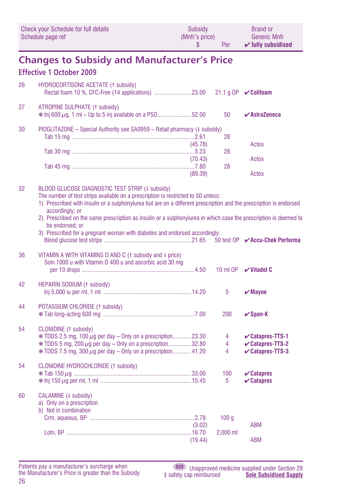| Check your Schedule for full details | Subsidy        | <b>Brand or</b>               |
|--------------------------------------|----------------|-------------------------------|
| Schedule page ref                    | (Mnfr's price) | <b>Generic Mnfr</b>           |
|                                      | Per            | $\checkmark$ fully subsidised |

### **Changes to Subsidy and Manufacturer's Price**

### **Effective 1 October 2009**

| 26  | <b>HYDROCORTISONE ACETATE (1 subsidy)</b>                                                      |         |    |                    |
|-----|------------------------------------------------------------------------------------------------|---------|----|--------------------|
| -27 | ATROPINE SULPHATE (1 subsidy)<br>* Inj 600 $\mu$ g, 1 ml – Up to 5 inj available on a PS052.00 |         | 50 | $\vee$ AstraZeneca |
| 30  | PIOGLITAZONE – Special Authority see $SA0959$ – Retail pharmacy ( $\downarrow$ subsidy)        |         |    |                    |
|     |                                                                                                |         | 28 |                    |
|     |                                                                                                | (45.78) |    | Actos              |
|     |                                                                                                |         | 28 |                    |
|     |                                                                                                | (70.43) |    | Actos              |
|     |                                                                                                |         | 28 |                    |
|     |                                                                                                | (89.39) |    | Actos              |
|     |                                                                                                |         |    |                    |

#### 32 BLOOD GLUCOSE DIAGNOSTIC TEST STRIP (4 subsidy)

The number of test strips available on a prescription is restricted to 50 unless:

- 1) Prescribed with insulin or a sulphonylurea but are on a different prescription and the prescription is endorsed accordingly; or
- 2) Prescribed on the same prescription as insulin or a sulphonylurea in which case the prescription is deemed to be endorsed; or
- 3) Prescribed for a pregnant woman with diabetes and endorsed accordingly. Blood glucose test strips ........................................................21.65 50 test OP ✔**Accu-Chek Performa**

### 36 VITAMIN A WITH VITAMINS D AND C ( $\frac{1}{1}$  subsidy and  $\frac{1}{1}$  price) Soln 1000 u with Vitamin D 400 u and ascorbic acid 30 mg per 10 drops .........................................................................4.50 10 ml OP ✔**Vitadol C**  $42$  HEDARIN CODIUM  $(4 \text{ subside})$

| 44 | <b>TILL AND OVERVIOUS (1 SUBSICIAL</b>                                                                                                                                                                                                | 5                | $\boldsymbol{\checkmark}$ Mayne                                                                           |
|----|---------------------------------------------------------------------------------------------------------------------------------------------------------------------------------------------------------------------------------------|------------------|-----------------------------------------------------------------------------------------------------------|
| 44 | POTASSIUM CHLORIDE (1 subsidy)                                                                                                                                                                                                        | 200              | $\vee$ Span-K                                                                                             |
| 54 | CLONIDINE (1 subsidy)<br>$*$ TDDS 2.5 mg, 100 $\mu$ g per day – Only on a prescription23.30<br>$*$ TDDS 5 mg, 200 $\mu$ g per day – Only on a prescription32.80<br>$*$ TDDS 7.5 mg, 300 $\mu$ g per day – Only on a prescription41.20 | 4<br>4<br>4      | $\mathcal{\mathcal{C}}$ Catapres-TTS-1<br>$\mathcal{\mathcal{C}}$ Catapres-TTS-2<br>$\vee$ Catapres-TTS-3 |
| 54 | CLONIDINE HYDROCHLORIDE (1 subsidy)                                                                                                                                                                                                   | 100<br>5         | $\mathcal V$ Catapres<br>$\mathbf{\triangleright}$ Catapres                                               |
| 60 | CALAMINE (+ subsidy)<br>a) Only on a prescription<br>b) Not in combination                                                                                                                                                            | 100 <sub>a</sub> |                                                                                                           |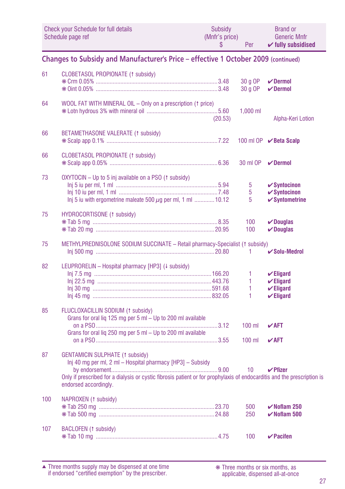|    | <b>Check your Schedule for full details</b><br>Schedule page ref                                                                                                                                                                                                                         | Subsidy<br>(Mnfr's price)<br>\$ | <b>Per</b>         | Brand or<br><b>Generic Mnfr</b><br>$\checkmark$ fully subsidised |  |  |
|----|------------------------------------------------------------------------------------------------------------------------------------------------------------------------------------------------------------------------------------------------------------------------------------------|---------------------------------|--------------------|------------------------------------------------------------------|--|--|
|    | Changes to Subsidy and Manufacturer's Price – effective 1 October 2009 (continued)                                                                                                                                                                                                       |                                 |                    |                                                                  |  |  |
| 61 | CLOBETASOL PROPIONATE (1 subsidy)                                                                                                                                                                                                                                                        |                                 | 30 g OP<br>30 g OP | $\vee$ Dermol<br>$\vee$ Dermol                                   |  |  |
| 64 | WOOL FAT WITH MINERAL OIL – Only on a prescription († price)                                                                                                                                                                                                                             | (20.53)                         | $1.000$ ml         | Alpha-Keri Lotion                                                |  |  |
| 66 | BETAMETHASONE VALERATE (1 subsidy)                                                                                                                                                                                                                                                       |                                 |                    | 100 ml OP <b>✓ Beta Scalp</b>                                    |  |  |
| 66 | CLOBETASOL PROPIONATE (1 subsidy)                                                                                                                                                                                                                                                        |                                 | 30 ml OP           | $\nu$ Dermol                                                     |  |  |
|    | $\mathbf{a}$ , $\mathbf{a}$ , and $\mathbf{a}$ , and $\mathbf{a}$ , and $\mathbf{a}$ , and $\mathbf{a}$ , and $\mathbf{a}$ , and $\mathbf{a}$ , and $\mathbf{a}$ , and $\mathbf{a}$ , and $\mathbf{a}$ , and $\mathbf{a}$ , and $\mathbf{a}$ , and $\mathbf{a}$ , and $\mathbf{a}$ , and |                                 |                    |                                                                  |  |  |

| 73 | OXYTOCIN – Up to 5 inj available on a PSO († subsidy)             |             |                           |
|----|-------------------------------------------------------------------|-------------|---------------------------|
|    |                                                                   | - 5         | $\checkmark$ Syntocinon   |
|    |                                                                   | $5^{\circ}$ | $\checkmark$ Syntocinon   |
|    | Ini 5 iu with ergometrine maleate 500 $\mu$ g per ml, 1 ml  10.12 | - 5         | $\checkmark$ Syntometrine |
|    |                                                                   |             |                           |

| 75  | HYDROCORTISONE (1 subsidy)                                                   | $100 \, \times$ Douglas<br>100 $\boldsymbol{\checkmark}$ Douglas |  |
|-----|------------------------------------------------------------------------------|------------------------------------------------------------------|--|
| -75 | METHYLPREDNISOLONE SODIUM SUCCINATE - Retail pharmacy-Specialist († subsidy) |                                                                  |  |

|    |                                                  | 1 <b>∠</b> Solu-Medrol |
|----|--------------------------------------------------|------------------------|
| ററ | LEUDOODELIN Lloenitel phermaeu (UD91 / Leuboidu) |                        |

| LEUPRORELIN – HOSPILAI PHAIHIACY (HPS) (+ SUDSIGY) |  | $\vee$ Eligard            |
|----------------------------------------------------|--|---------------------------|
|                                                    |  | $\mathbf{\nabla}$ Eligard |
|                                                    |  | $\mathbf{\nabla}$ Eligard |
|                                                    |  | $V$ Eligard               |

#### 85 FLUCLOXACILLIN SODIUM (1 subsidy) Grans for oral lig 125 mg per 5 ml  $-$  Up to 200 ml available on a PSO...............................................................................3.12 100 ml ✔**AFT** Grans for oral liq 250 mg per 5 ml – Up to 200 ml available on a PSO...............................................................................3.55 100 ml ✔**AFT**

| 87  | <b>GENTAMICIN SULPHATE (1 subsidy)</b><br>Inj 40 mg per ml, 2 ml – Hospital pharmacy [HP3] – Subsidy                                             |           |                         |
|-----|--------------------------------------------------------------------------------------------------------------------------------------------------|-----------|-------------------------|
|     |                                                                                                                                                  | <b>10</b> | $\vee$ Pfizer           |
|     | Only if prescribed for a dialysis or cystic fibrosis patient or for prophylaxis of endocarditis and the prescription is<br>endorsed accordingly. |           |                         |
| 100 | NAPROXEN (1 subsidy)                                                                                                                             |           |                         |
|     |                                                                                                                                                  | 500       | $\checkmark$ Noflam 250 |
|     |                                                                                                                                                  | 250       | $\checkmark$ Noflam 500 |

107 BACLOFEN (1 subsidy) ❋ Tab 10 mg ...............................................................................4.75 100 ✔**Pacifen**

Three months supply may be dispensed at one time if endorsed "certified exemption" by the prescriber. ▲ ❋ Three months or six months, as

applicable, dispensed all-at-once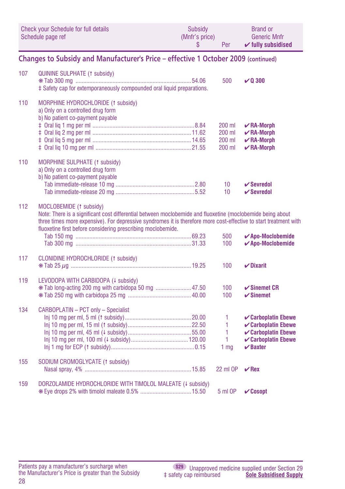| Check your Schedule for full details | Subsidy        | <b>Brand or</b>               |
|--------------------------------------|----------------|-------------------------------|
| Schedule page ref                    | (Mnfr's price) | <b>Generic Mnfr</b>           |
|                                      | Per            | $\checkmark$ fully subsidised |

### **Changes to Subsidy and Manufacturer's Price – effective 1 October 2009 (continued)**

| 107 | QUININE SULPHATE (1 subsidy)<br>‡ Safety cap for extemporaneously compounded oral liquid preparations.                                                                                                                                                                                                                     | 500                                  | $\times$ 0 300                                                                                                                                |
|-----|----------------------------------------------------------------------------------------------------------------------------------------------------------------------------------------------------------------------------------------------------------------------------------------------------------------------------|--------------------------------------|-----------------------------------------------------------------------------------------------------------------------------------------------|
| 110 | MORPHINE HYDROCHLORIDE (1 subsidy)<br>a) Only on a controlled drug form<br>b) No patient co-payment payable                                                                                                                                                                                                                | 200 ml<br>200 ml<br>200 ml<br>200 ml | $\mathcal{V}$ RA-Morph<br>$\mathcal{V}$ RA-Morph<br>$\mathcal{V}$ RA-Morph<br>$\nu$ RA-Morph                                                  |
| 110 | <b>MORPHINE SULPHATE (1 subsidy)</b><br>a) Only on a controlled drug form<br>b) No patient co-payment payable                                                                                                                                                                                                              | 10<br>10                             | $\mathbf{\nabla}$ Sevredol<br>$\mathbf{\nabla}$ Sevredol                                                                                      |
| 112 | MOCLOBEMIDE (1 subsidy)<br>Note: There is a significant cost differential between moclobemide and fluoxetine (moclobemide being about<br>three times more expensive). For depressive syndromes it is therefore more cost-effective to start treatment with<br>fluoxetine first before considering prescribing moclobemide. | 500<br>100                           | $\blacktriangleright$ Apo-Moclobemide<br>$\boldsymbol{\checkmark}$ Apo-Moclobemide                                                            |
| 117 | CLONIDINE HYDROCHLORIDE (1 subsidy)                                                                                                                                                                                                                                                                                        | 100                                  | $\nu$ Dixarit                                                                                                                                 |
| 119 | LEVODOPA WITH CARBIDOPA (+ subsidy)<br>* Tab long-acting 200 mg with carbidopa 50 mg  47.50                                                                                                                                                                                                                                | 100<br>100                           | $\checkmark$ Sinemet CR<br>$\checkmark$ Sinemet                                                                                               |
| 134 | CARBOPLATIN - PCT only - Specialist                                                                                                                                                                                                                                                                                        | 1<br>1<br>1<br>1<br>1 <sub>mg</sub>  | <b>√Carboplatin Ebewe</b><br><b>√Carboplatin Ebewe</b><br><b>√Carboplatin Ebewe</b><br><b>√Carboplatin Ebewe</b><br>$\boldsymbol{\nu}$ Baxter |
| 155 | SODIUM CROMOGLYCATE (1 subsidy)                                                                                                                                                                                                                                                                                            | 22 ml OP                             | $\vee$ Rex                                                                                                                                    |
| 159 | DORZOLAMIDE HYDROCHLORIDE WITH TIMOLOL MALEATE (+ subsidy)<br><b>*Eye drops 2% with timolol maleate 0.5%  15.50</b>                                                                                                                                                                                                        | 5 ml OP                              | $\mathcal{C}$ Cosopt                                                                                                                          |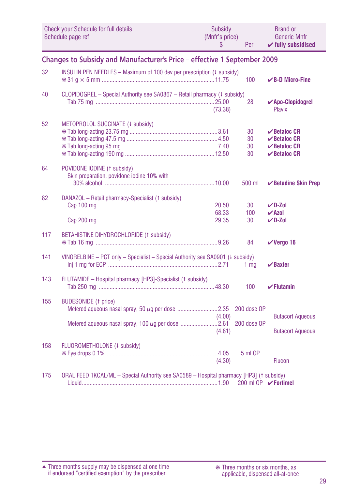| <b>Check your Schedule for full details</b><br>Schedule page ref<br>\$ |                                                                                         | <b>Subsidv</b><br>(Mnfr's price) | Per                        | <b>Brand or</b><br><b>Generic Mnfr</b><br>$\checkmark$ fully subsidised          |
|------------------------------------------------------------------------|-----------------------------------------------------------------------------------------|----------------------------------|----------------------------|----------------------------------------------------------------------------------|
|                                                                        | Changes to Subsidy and Manufacturer's Price - effective 1 September 2009                |                                  |                            |                                                                                  |
| 32                                                                     | INSULIN PEN NEEDLES - Maximum of 100 dev per prescription (4 subsidy)                   |                                  | 100                        | $\vee$ B-D Micro-Fine                                                            |
| 40                                                                     | CLOPIDOGREL - Special Authority see SA0867 - Retail pharmacy (# subsidy)                | (73.38)                          | 28                         | $\sqrt{Apo-Clopidograf}$<br><b>Plavix</b>                                        |
| 52                                                                     | METOPROLOL SUCCINATE (4 subsidy)                                                        |                                  | 30<br>30<br>30<br>30       | $\vee$ Betaloc CR<br>$\vee$ Betaloc CR<br>$\vee$ Betaloc CR<br>$\vee$ Betaloc CR |
| 64                                                                     | POVIDONE IODINE (1 subsidy)<br>Skin preparation, povidone iodine 10% with               |                                  | 500 ml                     | <b>∕Betadine Skin Prep</b>                                                       |
| 82                                                                     | DANAZOL - Retail pharmacy-Specialist (1 subsidy)                                        | 68.33                            | 30<br>100<br>30            | $V$ D-Zol<br><b>√Azol</b><br>$\nu$ D-Zol                                         |
| 117                                                                    | BETAHISTINE DIHYDROCHLORIDE (1 subsidy)                                                 |                                  | 84                         | $V$ Vergo 16                                                                     |
| 141                                                                    | VINORELBINE - PCT only - Specialist - Special Authority see SA0901 (4 subsidy)          |                                  | 1 <sub>mq</sub>            | $\boldsymbol{\nu}$ Baxter                                                        |
| 143                                                                    | FLUTAMIDE - Hospital pharmacy [HP3]-Specialist († subsidy)                              |                                  | 100                        | $\checkmark$ Flutamin                                                            |
| 155                                                                    | <b>BUDESONIDE</b> († price)                                                             | (4.00)<br>(4.81)                 | 200 dose OP<br>200 dose OP | <b>Butacort Aqueous</b><br><b>Butacort Aqueous</b>                               |
| 158                                                                    | FLUOROMETHOLONE (+ subsidy)                                                             | (4.30)                           | 5 ml OP                    | <b>Flucon</b>                                                                    |
| 175                                                                    | ORAL FEED 1KCAL/ML - Special Authority see SA0589 - Hospital pharmacy [HP3] († subsidy) |                                  | 200 ml OP <b>∕Fortimel</b> |                                                                                  |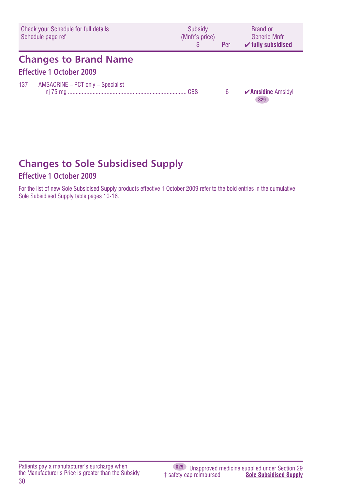| Check your Schedule for full details<br>Schedule page ref       | Subsidy<br>(Mnfr's price)<br>\$. | Per | <b>Brand or</b><br><b>Generic Mnfr</b><br>$\checkmark$ fully subsidised |
|-----------------------------------------------------------------|----------------------------------|-----|-------------------------------------------------------------------------|
| <b>Changes to Brand Name</b><br><b>Effective 1 October 2009</b> |                                  |     |                                                                         |
| 137<br>AMSACRINE - PCT only - Specialist                        |                                  | 6   | $\sqrt{\mathsf{A}}$ msidine Amsidyl<br><b>S29</b>                       |

# **Changes to Sole Subsidised Supply**

### **Effective 1 October 2009**

For the list of new Sole Subsidised Supply products effective 1 October 2009 refer to the bold entries in the cumulative Sole Subsidised Supply table pages 10-16.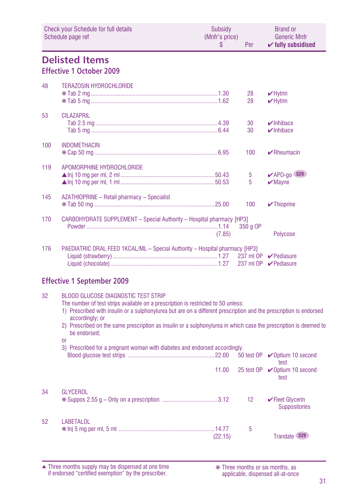|     | Check your Schedule for full details<br>Schedule page ref                                                                                                                                                                                                                                                                                                                                                                     | Subsidy<br>(Mnfr's price)<br>\$ | Per             | <b>Brand or</b><br><b>Generic Mnfr</b><br>$\checkmark$ fully subsidised |
|-----|-------------------------------------------------------------------------------------------------------------------------------------------------------------------------------------------------------------------------------------------------------------------------------------------------------------------------------------------------------------------------------------------------------------------------------|---------------------------------|-----------------|-------------------------------------------------------------------------|
|     | <b>Delisted Items</b><br><b>Effective 1 October 2009</b>                                                                                                                                                                                                                                                                                                                                                                      |                                 |                 |                                                                         |
| 48  | <b>TERAZOSIN HYDROCHLORIDE</b>                                                                                                                                                                                                                                                                                                                                                                                                |                                 | 28<br>28        | $\nu$ Hytrin<br>$\nu$ Hytrin                                            |
| 53  | <b>CILAZAPRIL</b>                                                                                                                                                                                                                                                                                                                                                                                                             |                                 | 30<br>30        | $\nu$ Inhibace<br>$\nu$ Inhibace                                        |
| 100 | <b>INDOMETHACIN</b>                                                                                                                                                                                                                                                                                                                                                                                                           |                                 | 100             | $\blacktriangleright$ Rheumacin                                         |
| 119 | APOMORPHINE HYDROCHLORIDE                                                                                                                                                                                                                                                                                                                                                                                                     |                                 | 5<br>5          | $\blacktriangleright$ APO-go \$29<br>$\blacktriangleright$ Mayne        |
| 145 | AZATHIOPRINE - Retail pharmacy - Specialist                                                                                                                                                                                                                                                                                                                                                                                   |                                 | 100             | $\sqrt{\ }$ Thioprine                                                   |
| 170 | CARBOHYDRATE SUPPLEMENT - Special Authority - Hospital pharmacy [HP3]                                                                                                                                                                                                                                                                                                                                                         | (7.85)                          | 350 a OP        | <b>Polycose</b>                                                         |
| 176 | <b>PAEDIATRIC ORAL FEED 1KCAL/ML - Special Authority - Hospital pharmacy [HP3]</b>                                                                                                                                                                                                                                                                                                                                            |                                 |                 | 237 ml OP <i>V</i> Pediasure<br>237 ml OP <i>V</i> Pediasure            |
|     | <b>Effective 1 September 2009</b>                                                                                                                                                                                                                                                                                                                                                                                             |                                 |                 |                                                                         |
| 32  | <b>BLOOD GLUCOSE DIAGNOSTIC TEST STRIP</b><br>The number of test strips available on a prescription is restricted to 50 unless:<br>1) Prescribed with insulin or a sulphonylurea but are on a different prescription and the prescription is endorsed<br>accordingly: or<br>2) Prescribed on the same prescription as insulin or a sulphonylurea in which case the prescription is deemed to<br>be endorsed:<br><sub>0r</sub> |                                 |                 |                                                                         |
|     | 3) Prescribed for a pregnant woman with diabetes and endorsed accordingly.                                                                                                                                                                                                                                                                                                                                                    |                                 |                 | test                                                                    |
|     |                                                                                                                                                                                                                                                                                                                                                                                                                               | 11.00                           |                 | 25 test OP <b></b> <i>v</i> Optium 10 second<br>test                    |
| 34  | <b>GLYCEROL</b>                                                                                                                                                                                                                                                                                                                                                                                                               |                                 | 12 <sup>°</sup> | $\blacktriangleright$ Fleet Glycerin<br><b>Suppositories</b>            |
| 52  | <b>LABETALOL</b>                                                                                                                                                                                                                                                                                                                                                                                                              | (22.15)                         | 5               | Trandate \$29                                                           |

Three months supply may be dispensed at one time if endorsed "certified exemption" by the prescriber. ▲ ❋ Three months or six months, as

applicable, dispensed all-at-once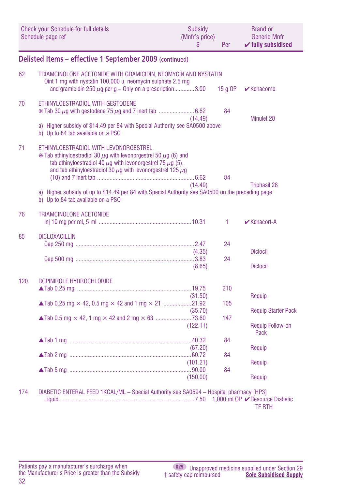|     | <b>Check your Schedule for full details</b><br>Schedule page ref                                                                                                                                                                                                                                                                                                                                                | Subsidy<br>(Mnfr's price)<br>S | Per               | <b>Brand or</b><br><b>Generic Mnfr</b><br>$\checkmark$ fully subsidised |
|-----|-----------------------------------------------------------------------------------------------------------------------------------------------------------------------------------------------------------------------------------------------------------------------------------------------------------------------------------------------------------------------------------------------------------------|--------------------------------|-------------------|-------------------------------------------------------------------------|
|     | Delisted Items - effective 1 September 2009 (continued)                                                                                                                                                                                                                                                                                                                                                         |                                |                   |                                                                         |
| 62  | TRIAMCINOLONE ACETONIDE WITH GRAMICIDIN, NEOMYCIN AND NYSTATIN<br>Oint 1 mg with nystatin 100,000 u, neomycin sulphate 2.5 mg<br>and gramicidin 250 $\mu$ g per g - Only on a prescription3.00                                                                                                                                                                                                                  |                                | $15q$ OP          | $\mathbf{\nabla}$ Kenacomb                                              |
| 70  | ETHINYLOESTRADIOL WITH GESTODENE<br>a) Higher subsidy of \$14.49 per 84 with Special Authority see SA0500 above<br>b) Up to 84 tab available on a PSO                                                                                                                                                                                                                                                           | (14.49)                        | 84                | Minulet 28                                                              |
| 71  | ETHINYLOESTRADIOL WITH LEVONORGESTREL<br>$*$ Tab ethinyloestradiol 30 $\mu$ q with levonorgestrel 50 $\mu$ q (6) and<br>tab ethinyloestradiol 40 $\mu$ q with levonorgestrel 75 $\mu$ q (5),<br>and tab ethinyloestradiol 30 $\mu$ g with levonorgestrel 125 $\mu$ g<br>a) Higher subsidy of up to \$14.49 per 84 with Special Authority see SA0500 on the preceding page<br>b) Up to 84 tab available on a PSO | (14.49)                        | 84                | <b>Triphasil 28</b>                                                     |
| 76  | <b>TRIAMCINOLONE ACETONIDE</b>                                                                                                                                                                                                                                                                                                                                                                                  |                                | 1                 | $\mathbf{\nabla}$ Kenacort-A                                            |
| 85  | <b>DICLOXACILLIN</b>                                                                                                                                                                                                                                                                                                                                                                                            | (4.35)<br>(8.65)               | 24<br>24          | <b>Diclocil</b><br><b>Diclocil</b>                                      |
| 120 | ROPINIROLE HYDROCHLORIDE                                                                                                                                                                                                                                                                                                                                                                                        | (31.50)<br>(35.70)<br>(122.11) | 210<br>105<br>147 | Requip<br><b>Requip Starter Pack</b><br><b>Requip Follow-on</b><br>Pack |
|     |                                                                                                                                                                                                                                                                                                                                                                                                                 | (67.20)<br>(101.21)            | 84<br>84<br>84    | Requip<br>Requip                                                        |
| 174 | DIABETIC ENTERAL FEED 1KCAL/ML - Special Authority see SA0594 - Hospital pharmacy [HP3]                                                                                                                                                                                                                                                                                                                         | (150.00)                       |                   | Requip<br><b>TF RTH</b>                                                 |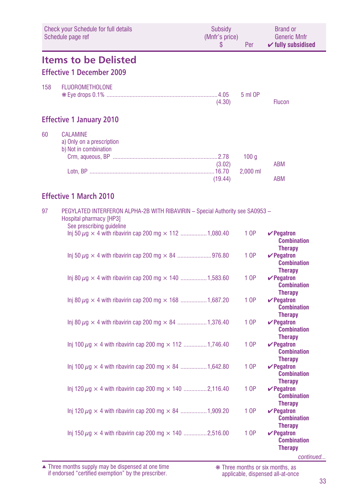|     | Check your Schedule for full details<br>Schedule page ref                                                                             | Subsidy<br>(Mnfr's price)<br>\$ | Per              | <b>Brand or</b><br><b>Generic Mnfr</b><br>$\checkmark$ fully subsidised                      |
|-----|---------------------------------------------------------------------------------------------------------------------------------------|---------------------------------|------------------|----------------------------------------------------------------------------------------------|
|     | <b>Items to be Delisted</b>                                                                                                           |                                 |                  |                                                                                              |
|     | <b>Effective 1 December 2009</b>                                                                                                      |                                 |                  |                                                                                              |
| 158 | <b>FLUOROMETHOLONE</b>                                                                                                                | (4.30)                          | 5 ml OP          | <b>Flucon</b>                                                                                |
|     | <b>Effective 1 January 2010</b>                                                                                                       |                                 |                  |                                                                                              |
| 60  | <b>CALAMINE</b><br>a) Only on a prescription<br>b) Not in combination                                                                 | (3.02)                          | 100 <sub>g</sub> | <b>ABM</b>                                                                                   |
|     |                                                                                                                                       | (19.44)                         | $2,000$ ml       | <b>ABM</b>                                                                                   |
|     | <b>Effective 1 March 2010</b>                                                                                                         |                                 |                  |                                                                                              |
| 97  | PEGYLATED INTERFERON ALPHA-2B WITH RIBAVIRIN - Special Authority see SA0953 -<br>Hospital pharmacy [HP3]<br>See prescribing guideline |                                 |                  |                                                                                              |
|     | Inj 50 $\mu$ g $\times$ 4 with ribavirin cap 200 mg $\times$ 112 1,080.40                                                             |                                 | 1 OP             | $\vee$ Pegatron<br><b>Combination</b><br><b>Therapy</b>                                      |
|     |                                                                                                                                       |                                 | 1 OP             | $\vee$ Pegatron<br><b>Combination</b><br><b>Therapy</b>                                      |
|     | Inj 80 $\mu$ g $\times$ 4 with ribavirin cap 200 mg $\times$ 140 1,583.60                                                             |                                 | 1 OP             | $\vee$ Pegatron<br><b>Combination</b><br><b>Therapy</b>                                      |
|     | Inj 80 $\mu$ g $\times$ 4 with ribavirin cap 200 mg $\times$ 168 1,687.20                                                             |                                 | 1 OP             | $\vee$ Pegatron<br><b>Combination</b><br><b>Therapy</b>                                      |
|     | Inj 80 $\mu$ g × 4 with ribavirin cap 200 mg × 84  1,376.40                                                                           |                                 | 1 OP             | $\vee$ Pegatron<br><b>Combination</b><br><b>Therapy</b>                                      |
|     | Inj 100 $\mu$ g × 4 with ribavirin cap 200 mg × 112 1,746.40                                                                          |                                 | 1 OP             | $\vee$ Pegatron<br><b>Combination</b><br><b>Therapy</b>                                      |
|     | Inj 100 $\mu$ g × 4 with ribavirin cap 200 mg × 84  1,642.80                                                                          |                                 | 1 OP             | $\vee$ Pegatron<br><b>Combination</b>                                                        |
|     | Inj 120 $\mu$ g × 4 with ribavirin cap 200 mg × 140 2,116.40                                                                          |                                 | 1 OP             | <b>Therapy</b><br>$\mathbf{v}$ Pegatron<br><b>Combination</b>                                |
|     | Inj 120 $\mu$ g $\times$ 4 with ribavirin cap 200 mg $\times$ 84 1,909.20                                                             |                                 | 1 OP             | <b>Therapy</b><br>$\vee$ Pegatron<br><b>Combination</b>                                      |
|     | Inj 150 $\mu$ g $\times$ 4 with ribavirin cap 200 mg $\times$ 140 2,516.00                                                            |                                 | 1 OP             | <b>Therapy</b><br>$\mathbf{v}$ Pegatron<br><b>Combination</b><br><b>Therapy</b><br>continued |

Three months supply may be dispensed at one time if endorsed "certified exemption" by the prescriber. ▲ ❋ Three months or six months, as

applicable, dispensed all-at-once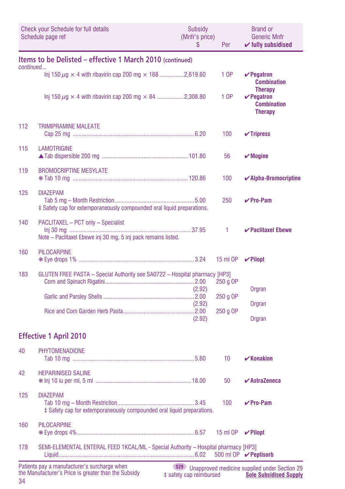|           | <b>Check your Schedule for full details</b><br>Schedule page ref                                    | Subsidy<br>(Mnfr's price)<br>\$ | Per      | Brand or<br><b>Generic Mnfr</b><br>$\checkmark$ fully subsidised          |
|-----------|-----------------------------------------------------------------------------------------------------|---------------------------------|----------|---------------------------------------------------------------------------|
| continued | Items to be Delisted - effective 1 March 2010 (continued)                                           |                                 |          |                                                                           |
|           | Inj 150 $\mu$ g × 4 with ribavirin cap 200 mg × 168 2,619.60                                        |                                 | 1 OP     | $\vee$ Pegatron<br><b>Combination</b>                                     |
|           | Inj 150 $\mu$ g × 4 with ribavirin cap 200 mg × 84 2,308.80                                         |                                 | 1 OP     | <b>Therapy</b><br>$\vee$ Pegatron<br><b>Combination</b><br><b>Therapy</b> |
| 112       | <b>TRIMIPRAMINE MALEATE</b>                                                                         |                                 | 100      | $\checkmark$ Tripress                                                     |
| 115       | <b>LAMOTRIGINE</b>                                                                                  |                                 | 56       | $\boldsymbol{\mathcal{V}}$ Mogine                                         |
| 119       | <b>BROMOCRIPTINE MESYLATE</b>                                                                       |                                 | 100      | $\checkmark$ Alpha-Bromocriptine                                          |
| 125       | <b>DIAZEPAM</b><br># Safety cap for extemporaneously compounded oral liquid preparations.           |                                 | 250      | $\vee$ Pro-Pam                                                            |
| 140       | PACLITAXEL - PCT only - Specialist<br>Note - Paclitaxel Ebewe inj 30 mg, 5 inj pack remains listed. |                                 | 1.       | ✔ Paclitaxel Ebewe                                                        |
| 160       | <b>PILOCARPINE</b>                                                                                  |                                 | 15 ml OP | $\vee$ Pilopt                                                             |
| 183       | GLUTEN FREE PASTA - Special Authority see SA0722 - Hospital pharmacy [HP3]                          |                                 | 250 g OP |                                                                           |
|           |                                                                                                     | (2.92)                          | 250 g OP | Orgran                                                                    |
|           |                                                                                                     | (2.92)<br>(2.92)                | 250 g OP | Orgran<br>Orgran                                                          |
|           | <b>Effective 1 April 2010</b>                                                                       |                                 |          |                                                                           |
| 40        | <b>PHYTOMENADIONE</b>                                                                               |                                 | 10       | $\mathbf{v}$ Konakion                                                     |
| 42        | <b>HEPARINISED SALINE</b>                                                                           |                                 | 50       | $\boldsymbol{\checkmark}$ AstraZeneca                                     |
| 125       | <b>DIAZEPAM</b><br># Safety cap for extemporaneously compounded oral liquid preparations.           |                                 | 100      | $\vee$ Pro-Pam                                                            |
| 160       | <b>PILOCARPINE</b>                                                                                  |                                 | 15 ml OP | $\vee$ Pilopt                                                             |
| 178       | SEMI-ELEMENTAL ENTERAL FEED 1KCAL/ML - Special Authority - Hospital pharmacy [HP3]                  |                                 |          | 500 ml OP <b>∕ Peptisorb</b>                                              |
|           | Patients pay a manufacturer's surcharge when                                                        | <b>S29</b>                      |          | Unapproved medicine supplied under Section 29                             |

 $\frac{2}{3}$  safety cap reimbursed **Expense and of Socion Lo**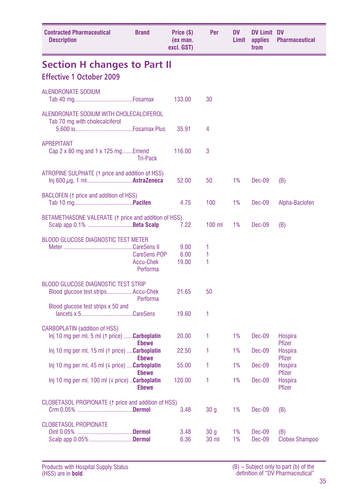| <b>Contracted Pharmaceutical</b><br><b>Description</b>                                      | <b>Brand</b>                                        | Price (\$)<br>(ex man.<br>excl. GST) | Per                      | DV<br>Limit | <b>DV Limit DV</b><br>applies<br>from | <b>Pharmaceutical</b>           |
|---------------------------------------------------------------------------------------------|-----------------------------------------------------|--------------------------------------|--------------------------|-------------|---------------------------------------|---------------------------------|
| <b>Section H changes to Part II</b>                                                         |                                                     |                                      |                          |             |                                       |                                 |
| <b>Effective 1 October 2009</b>                                                             |                                                     |                                      |                          |             |                                       |                                 |
| <b>ALENDRONATE SODIUM</b>                                                                   |                                                     | 133.00                               | 30                       |             |                                       |                                 |
| ALENDRONATE SODIUM WITH CHOLECALCIFEROL<br>Tab 70 mg with cholecalciferol                   |                                                     | 35.91                                | 4                        |             |                                       |                                 |
| <b>APREPITANT</b><br>Cap 2 x 80 mg and 1 x 125 mgEmend                                      | <b>Tri-Pack</b>                                     | 116.00                               | 3                        |             |                                       |                                 |
| ATROPINE SULPHATE (1 price and addition of HSS)                                             |                                                     | 52.00                                | 50                       | 1%          | Dec-09                                | (B)                             |
| BACLOFEN (1 price and addition of HSS)                                                      |                                                     | 4.75                                 | 100                      | 1%          | Dec-09                                | Alpha-Baclofen                  |
| BETAMETHASONE VALERATE (1 price and addition of HSS)<br>Scalp app 0.1% Beta Scalp           |                                                     | 7.22                                 | 100 ml                   | 1%          | Dec-09                                | (B)                             |
| <b>BLOOD GLUCOSE DIAGNOSTIC TEST METER</b>                                                  | <b>CareSens POP</b><br><b>Accu-Chek</b><br>Performa | 9.00<br>6.00<br>19.00                | 1<br>1<br>1              |             |                                       |                                 |
| <b>BLOOD GLUCOSE DIAGNOSTIC TEST STRIP</b><br>Blood glucose test stripsAccu-Chek            | Performa                                            | 21.65                                | 50                       |             |                                       |                                 |
| Blood glucose test strips x 50 and<br>lancets x 5CareSens                                   |                                                     | 19.60                                | 1                        |             |                                       |                                 |
| <b>CARBOPLATIN</b> (addition of HSS)<br>Inj 10 mg per ml, 5 ml († price) <b>Carboplatin</b> | <b>Ebewe</b>                                        | 20.00                                | 1                        | 1%          | Dec-09                                | Hospira<br>Pfizer               |
| Inj 10 mg per ml, 15 ml (1 price) <b>Carboplatin</b>                                        | <b>Ebewe</b>                                        | 22.50                                | 1                        | 1%          | Dec-09                                | <b>Hospira</b><br><b>Pfizer</b> |
| Inj 10 mg per ml, 45 ml $(4 \text{ price})$ <b>Carboplatin</b>                              | <b>Ebewe</b>                                        | 55.00                                | 1                        | 1%          | Dec-09                                | Hospira<br><b>Pfizer</b>        |
| Inj 10 mg per ml, 100 ml $(4 \text{ price})$ Carboplatin                                    | <b>Ebewe</b>                                        | 120.00                               | 1                        | 1%          | Dec-09                                | Hospira<br>Pfizer               |
| CLOBETASOL PROPIONATE (1 price and addition of HSS)                                         |                                                     | 3.48                                 | 30 g                     | 1%          | Dec-09                                | (B)                             |
| <b>CLOBETASOL PROPIONATE</b><br>Scalp app 0.05% Dermol                                      |                                                     | 3.48<br>6.36                         | 30 q<br>30 <sub>ml</sub> | 1%<br>1%    | Dec-09<br>Dec-09                      | (B)<br><b>Clobex Shampoo</b>    |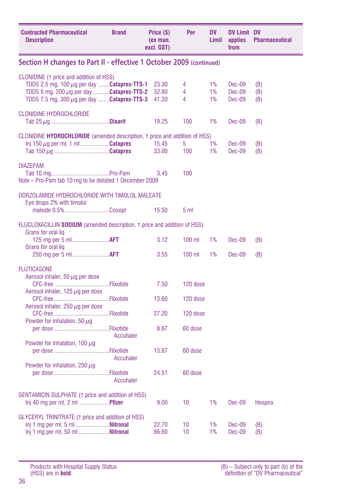| <b>Contracted Pharmaceutical</b><br><b>Description</b>                                                                                                                                                | <b>Brand</b> | Price (\$)<br>(ex man.<br>excl. GST) | Per             | <b>DV</b><br>Limit | <b>DV Limit DV</b><br>applies<br>from | <b>Pharmaceutical</b> |
|-------------------------------------------------------------------------------------------------------------------------------------------------------------------------------------------------------|--------------|--------------------------------------|-----------------|--------------------|---------------------------------------|-----------------------|
| Section H changes to Part II - effective 1 October 2009 (continued)                                                                                                                                   |              |                                      |                 |                    |                                       |                       |
| CLONIDINE (1 price and addition of HSS)<br>TDDS 2.5 mg, 100 $\mu$ g per day <b>Catapres-TTS-1</b><br>TDDS 5 mg, 200 $\mu$ g per day Catapres-TTS-2<br>TDDS 7.5 mg, 300 $\mu$ g per day Catapres-TTS-3 |              | 23.30<br>32.80<br>41.20              | 4<br>4<br>4     | 1%<br>1%<br>1%     | Dec-09<br>Dec-09<br>Dec-09            | (B)<br>(B)<br>(B)     |
| <b>CLONIDINE HYDROCHLORIDE</b>                                                                                                                                                                        |              | 19.25                                | 100             | 1%                 | Dec-09                                | (B)                   |
| CLONIDINE HYDROCHLORIDE (amended description, 1 price and addition of HSS)<br>lnj 150 $\mu$ g per ml, 1 mlCatapres                                                                                    |              | 15.45<br>33.00                       | 5<br>100        | 1%<br>1%           | Dec-09<br>Dec-09                      | (B)<br>(B)            |
| <b>DIAZEPAM</b><br>Note - Pro-Pam tab 10 mg to be delisted 1 December 2009                                                                                                                            |              | 3.45                                 | 100             |                    |                                       |                       |
| DORZOLAMIDE HYDROCHLORIDE WITH TIMOLOL MALEATE<br>Eye drops 2% with timolol<br>maleate 0.5%Cosopt                                                                                                     |              | 15.50                                | 5 <sub>m1</sub> |                    |                                       |                       |
| FLUCLOXACILLIN SODIUM (amended description, 1 price and addition of HSS)<br>Grans for oral lig                                                                                                        |              |                                      |                 |                    |                                       |                       |
| 125 mg per 5 ml  AFT<br>Grans for oral lig                                                                                                                                                            |              | 3.12                                 | $100$ ml        | 1%                 | Dec-09                                | (B)                   |
|                                                                                                                                                                                                       |              | 3.55                                 | $100$ ml        | 1%                 | Dec-09                                | (B)                   |
| <b>FLUTICASONE</b><br>Aerosol inhaler, 50 $\mu$ g per dose<br>Aerosol inhaler, 125 $\mu$ g per dose                                                                                                   |              | 7.50                                 | 120 dose        |                    |                                       |                       |
| Aerosol inhaler, 250 $\mu$ g per dose                                                                                                                                                                 |              | 13.60                                | 120 dose        |                    |                                       |                       |
| Powder for inhalation, 50 $\mu$ g                                                                                                                                                                     |              | 27.20                                | 120 dose        |                    |                                       |                       |
|                                                                                                                                                                                                       | Accuhaler    | 8.67                                 | 60 dose         |                    |                                       |                       |
| Powder for inhalation, 100 $\mu$ g                                                                                                                                                                    | Accuhaler    | 13.87                                | 60 dose         |                    |                                       |                       |
| Powder for inhalation, 250 $\mu$ g                                                                                                                                                                    | Accuhaler    | 24.51                                | 60 dose         |                    |                                       |                       |
| <b>GENTAMICIN SULPHATE (1 price and addition of HSS)</b><br>Inj 40 mg per ml, 2 ml  Pfizer                                                                                                            |              | 9.00                                 | 10              | 1%                 | <b>Dec-09</b>                         | Hospira               |
| <b>GLYCERYL TRINITRATE (1 price and addition of HSS)</b><br>lnj 1 mg per ml, 5 ml Nitronal<br>Inj 1 mg per ml, 50 ml Nitronal                                                                         |              | 22.70<br>86.60                       | 10<br>10        | 1%<br>1%           | Dec-09<br>Dec-09                      | (B)<br>(B)            |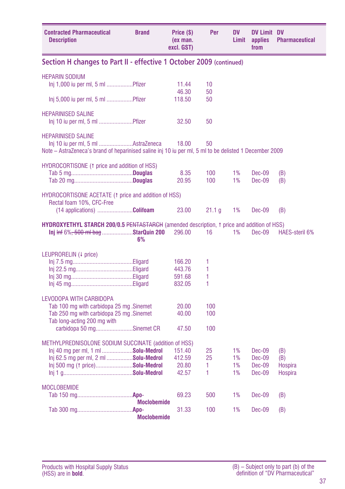| <b>Contracted Pharmaceutical</b><br><b>Description</b>                                                                                                                               | <b>Brand</b>       | Price (\$)<br>(ex man.<br>excl. GST) | Per                | DV<br>Limit          | <b>DV Limit DV</b><br>applies<br>from              | <b>Pharmaceutical</b>            |
|--------------------------------------------------------------------------------------------------------------------------------------------------------------------------------------|--------------------|--------------------------------------|--------------------|----------------------|----------------------------------------------------|----------------------------------|
| Section H changes to Part II - effective 1 October 2009 (continued)                                                                                                                  |                    |                                      |                    |                      |                                                    |                                  |
| <b>HEPARIN SODIUM</b><br>Inj 1,000 iu per ml, 5 ml Pfizer                                                                                                                            |                    | 11.44                                | 10                 |                      |                                                    |                                  |
| Inj 5,000 iu per ml, 5 ml Pfizer                                                                                                                                                     |                    | 46.30<br>118.50                      | 50<br>50           |                      |                                                    |                                  |
| <b>HEPARINISED SALINE</b><br>Inj 10 iu per ml, 5 ml Pfizer                                                                                                                           |                    | 32.50                                | 50                 |                      |                                                    |                                  |
| <b>HEPARINISED SALINE</b><br>Note – AstraZeneca's brand of heparinised saline inj 10 iu per ml, 5 ml to be delisted 1 December 2009                                                  |                    | 18.00                                | 50                 |                      |                                                    |                                  |
| HYDROCORTISONE (1 price and addition of HSS)                                                                                                                                         |                    | 8.35<br>20.95                        | 100<br>100         | 1%<br>1%             | Dec-09<br><b>Dec-09</b>                            | (B)<br>(B)                       |
| HYDROCORTISONE ACETATE (1 price and addition of HSS)<br>Rectal foam 10%, CFC-Free<br>$(14$ applications) Colifoam                                                                    |                    | 23.00                                | 21.1 g             | 1%                   | Dec-09                                             | (B)                              |
| <b>HYDROXYETHYL STARCH 200/0.5 PENTASTARCH</b> (amended description, t price and addition of HSS)<br>Inj Inf 6% <del>, 500 ml bag</del> StarQuin 200                                 | 6%                 | 296.00                               | 16                 | 1%                   | $Dec-09$                                           | <b>HAES-steril 6%</b>            |
| LEUPRORELIN (4 price)                                                                                                                                                                |                    | 166.20<br>443.76<br>591.68<br>832.05 | 1<br>1<br>1<br>1   |                      |                                                    |                                  |
| <b>LEVODOPA WITH CARBIDOPA</b><br>Tab 100 mg with carbidopa 25 mg . Sinemet<br>Tab 250 mg with carbidopa 25 mg . Sinemet<br>Tab long-acting 200 mg with<br>carbidopa 50 mgSinemet CR |                    | 20.00<br>40.00<br>47.50              | 100<br>100<br>100  |                      |                                                    |                                  |
| METHYLPREDNISOLONE SODIUM SUCCINATE (addition of HSS)<br>Inj 40 mg per ml, 1 ml Solu-Medrol<br>Inj 62.5 mg per ml, 2 ml  Solu-Medrol<br>Inj 500 mg († price)Solu-Medrol              |                    | 151.40<br>412.59<br>20.80<br>42.57   | 25<br>25<br>1<br>1 | 1%<br>1%<br>1%<br>1% | Dec-09<br><b>Dec-09</b><br>Dec-09<br><b>Dec-09</b> | (B)<br>(B)<br>Hospira<br>Hospira |
| <b>MOCLOBEMIDE</b>                                                                                                                                                                   | <b>Moclobemide</b> | 69.23                                | 500                | 1%                   | Dec-09                                             | (B)                              |
|                                                                                                                                                                                      | <b>Moclobemide</b> | 31.33                                | 100                | 1%                   | Dec-09                                             | (B)                              |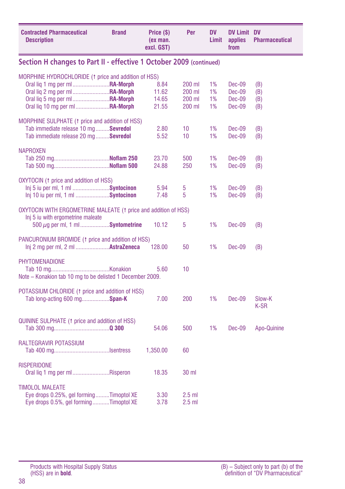| <b>Contracted Pharmaceutical</b><br><b>Description</b>                                                                                                                                                          | <b>Brand</b> | Price (\$)<br>(ex man.<br>excl. GST) | Per                                  | <b>DV</b><br>Limit   | <b>DV Limit DV</b><br>applies<br>from | <b>Pharmaceutical</b>    |
|-----------------------------------------------------------------------------------------------------------------------------------------------------------------------------------------------------------------|--------------|--------------------------------------|--------------------------------------|----------------------|---------------------------------------|--------------------------|
| Section H changes to Part II - effective 1 October 2009 (continued)                                                                                                                                             |              |                                      |                                      |                      |                                       |                          |
| MORPHINE HYDROCHLORIDE (1 price and addition of HSS)<br>Oral lig 1 mg per ml <b>RA-Morph</b><br>Oral liq 2 mg per ml  RA-Morph<br>Oral liq 5 mg per ml <b>RA-Morph</b><br>Oral lig 10 mg per ml <b>RA-Morph</b> |              | 8.84<br>11.62<br>14.65<br>21.55      | 200 ml<br>200 ml<br>200 ml<br>200 ml | 1%<br>1%<br>1%<br>1% | Dec-09<br>Dec-09<br>Dec-09<br>Dec-09  | (B)<br>(B)<br>(B)<br>(B) |
| MORPHINE SULPHATE (1 price and addition of HSS)<br>Tab immediate release 10 mgSevredol<br>Tab immediate release 20 mg  Sevredol                                                                                 |              | 2.80<br>5.52                         | 10<br>10                             | 1%<br>1%             | $Dec-09$<br>$Dec-09$                  | (B)<br>(B)               |
| <b>NAPROXEN</b>                                                                                                                                                                                                 |              | 23.70<br>24.88                       | 500<br>250                           | 1%<br>1%             | $Dec-09$<br>Dec-09                    | (B)<br>(B)               |
| OXYTOCIN (1 price and addition of HSS)<br>lnj 5 iu per ml, 1 ml Syntocinon<br>Inj 10 iu per ml, 1 ml Syntocinon                                                                                                 |              | 5.94<br>7.48                         | 5<br>5                               | 1%<br>1%             | <b>Dec-09</b><br>Dec-09               | (B)<br>(B)               |
| OXYTOCIN WITH ERGOMETRINE MALEATE (1 price and addition of HSS)<br>Inj 5 iu with ergometrine maleate<br>$500 \mu$ g per ml, 1 mlSyntometrine                                                                    |              | 10.12                                | 5                                    | 1%                   | Dec-09                                | (B)                      |
| PANCURONIUM BROMIDE (1 price and addition of HSS)<br>Inj 2 mg per ml, 2 ml  AstraZeneca                                                                                                                         |              | 128.00                               | 50                                   | 1%                   | Dec-09                                | (B)                      |
| PHYTOMENADIONE<br>Note - Konakion tab 10 mg to be delisted 1 December 2009.                                                                                                                                     |              | 5.60                                 | 10                                   |                      |                                       |                          |
| POTASSIUM CHLORIDE (1 price and addition of HSS)<br>Tab long-acting 600 mgSpan-K                                                                                                                                |              | 7.00                                 | 200                                  | 1%                   | $Dec-09$                              | Slow-K<br>K-SR           |
| QUININE SULPHATE (1 price and addition of HSS)                                                                                                                                                                  |              | 54.06                                | 500                                  | 1%                   | Dec-09                                | Apo-Quinine              |
| RALTEGRAVIR POTASSIUM                                                                                                                                                                                           |              | 1,350.00                             | 60                                   |                      |                                       |                          |
| <b>RISPERIDONE</b><br>Oral lig 1 mg per ml Risperon                                                                                                                                                             |              | 18.35                                | 30 ml                                |                      |                                       |                          |
| <b>TIMOLOL MALEATE</b><br>Eye drops 0.25%, gel formingTimoptol XE<br>Eye drops 0.5%, gel formingTimoptol XE                                                                                                     |              | 3.30<br>3.78                         | $2.5$ ml<br>$2.5$ ml                 |                      |                                       |                          |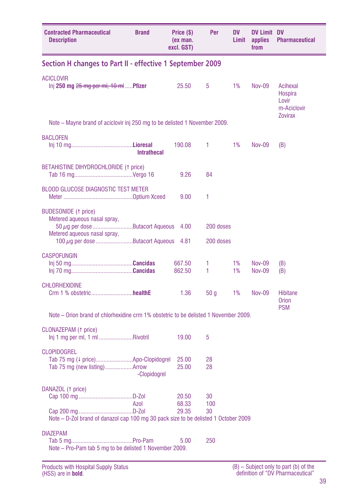| <b>Contracted Pharmaceutical</b><br><b>Description</b>                                                                              | <b>Brand</b>       | Price (\$)<br>(ex man.<br>excl. GST) | Per             | DV<br>Limit | <b>DV Limit DV</b><br>applies<br>from | <b>Pharmaceutical</b>                                         |
|-------------------------------------------------------------------------------------------------------------------------------------|--------------------|--------------------------------------|-----------------|-------------|---------------------------------------|---------------------------------------------------------------|
| Section H changes to Part II - effective 1 September 2009                                                                           |                    |                                      |                 |             |                                       |                                                               |
| <b>ACICI OVIR</b><br>$\ln$ 250 mg $25$ mg per ml, 10 ml Pfizer                                                                      |                    | 25.50                                | 5               | 1%          | $Nov-09$                              | Acihexal<br>Hospira<br>Lovir<br>m-Aciclovir<br><b>Zovirax</b> |
| Note – Mayne brand of aciclovir inj 250 mg to be delisted 1 November 2009.                                                          |                    |                                      |                 |             |                                       |                                                               |
| <b>BACLOFEN</b>                                                                                                                     | <b>Intrathecal</b> | 190.08                               | 1               | 1%          | <b>Nov-09</b>                         | (B)                                                           |
| BETAHISTINE DIHYDROCHLORIDE (1 price)                                                                                               |                    | 9.26                                 | 84              |             |                                       |                                                               |
| <b>BLOOD GLUCOSE DIAGNOSTIC TEST METER</b>                                                                                          |                    | 9.00                                 | 1               |             |                                       |                                                               |
| <b>BUDESONIDE</b> († price)<br>Metered aqueous nasal spray,<br>$50 \mu$ g per dose Butacort Aqueous<br>Metered aqueous nasal spray, |                    | 4.00                                 | 200 doses       |             |                                       |                                                               |
| 100 µg per dose Butacort Aqueous                                                                                                    |                    | 4.81                                 | 200 doses       |             |                                       |                                                               |
| <b>CASPOFUNGIN</b>                                                                                                                  |                    | 667.50<br>862.50                     | 1<br>1          | 1%<br>1%    | <b>Nov-09</b><br><b>Nov-09</b>        | (B)<br>(B)                                                    |
| <b>CHLORHEXIDINE</b><br>Crm 1 % obstetrichealthE                                                                                    |                    | 1.36                                 | 50 g            | 1%          | Nov-09                                | <b>Hibitane</b><br><b>Orion</b>                               |
| Note – Orion brand of chlorhexidine crm 1% obstetric to be delisted 1 November 2009.                                                |                    |                                      |                 |             |                                       | <b>PSM</b>                                                    |
| CLONAZEPAM (1 price)<br>lnj 1 mg per ml, 1 ml Rivotril                                                                              |                    | 19.00                                | 5               |             |                                       |                                                               |
| <b>CLOPIDOGREL</b><br>Tab 75 mg (4 price)Apo-Clopidogrel                                                                            | -Clopidogrel       | 25.00<br>25.00                       | 28<br>28        |             |                                       |                                                               |
| DANAZOL († price)<br>Note - D-Zol brand of danazol cap 100 mg 30 pack size to be delisted 1 October 2009                            | Azol               | 20.50<br>68.33<br>29.35              | 30<br>100<br>30 |             |                                       |                                                               |
| <b>DIAZEPAM</b><br>Note – Pro-Pam tab 5 mg to be delisted 1 November 2009.                                                          |                    | 5.00                                 | 250             |             |                                       |                                                               |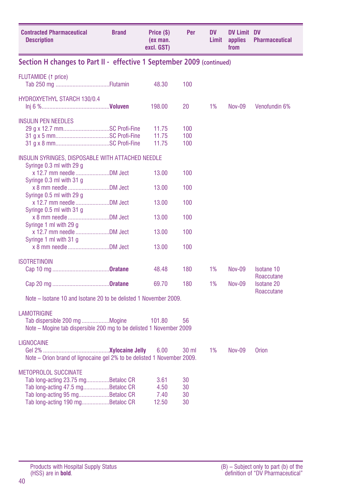| <b>Contracted Pharmaceutical</b><br><b>Description</b>                                                                                                                        | <b>Brand</b> | Price (\$)<br>(ex man.<br>excl. GST) | Per                  | DV<br>Limit | <b>DV Limit DV</b><br>applies<br>from | <b>Pharmaceutical</b>           |
|-------------------------------------------------------------------------------------------------------------------------------------------------------------------------------|--------------|--------------------------------------|----------------------|-------------|---------------------------------------|---------------------------------|
| Section H changes to Part II - effective 1 September 2009 (continued)                                                                                                         |              |                                      |                      |             |                                       |                                 |
| <b>FLUTAMIDE</b> (1 price)                                                                                                                                                    |              | 48.30                                | 100                  |             |                                       |                                 |
| HYDROXYETHYL STARCH 130/0.4                                                                                                                                                   |              | 198.00                               | 20                   | 1%          | Nov-09                                | Venofundin 6%                   |
| <b>INSULIN PEN NEEDLES</b><br>29 g x 12.7 mmSC Profi-Fine                                                                                                                     |              | 11.75<br>11.75                       | 100<br>100           |             |                                       |                                 |
|                                                                                                                                                                               |              | 11.75                                | 100                  |             |                                       |                                 |
| INSULIN SYRINGES, DISPOSABLE WITH ATTACHED NEEDLE<br>Syringe 0.3 ml with 29 g                                                                                                 |              |                                      |                      |             |                                       |                                 |
| Syringe 0.3 ml with 31 g                                                                                                                                                      |              | 13.00                                | 100                  |             |                                       |                                 |
| Syringe 0.5 ml with 29 g                                                                                                                                                      |              | 13.00                                | 100                  |             |                                       |                                 |
| x 12.7 mm needle DM Ject<br>Syringe 0.5 ml with 31 g                                                                                                                          |              | 13.00                                | 100                  |             |                                       |                                 |
| Syringe 1 ml with 29 g                                                                                                                                                        |              | 13.00                                | 100                  |             |                                       |                                 |
| x 12.7 mm needle DM Ject<br>Syringe 1 ml with 31 g                                                                                                                            |              | 13.00                                | 100                  |             |                                       |                                 |
|                                                                                                                                                                               |              | 13.00                                | 100                  |             |                                       |                                 |
| <b>ISOTRETINOIN</b>                                                                                                                                                           |              |                                      |                      |             |                                       |                                 |
|                                                                                                                                                                               |              | 48.48                                | 180                  | 1%          | <b>Nov-09</b>                         | <b>Isotane 10</b><br>Roaccutane |
|                                                                                                                                                                               |              | 69.70                                | 180                  | 1%          | <b>Nov-09</b>                         | <b>Isotane 20</b><br>Roaccutane |
| Note – Isotane 10 and Isotane 20 to be delisted 1 November 2009.                                                                                                              |              |                                      |                      |             |                                       |                                 |
| <b>LAMOTRIGINE</b><br>Tab dispersible 200 mg Mogine<br>Note – Mogine tab dispersible 200 mg to be delisted 1 November 2009                                                    |              | 101.80                               | 56                   |             |                                       |                                 |
| <b>LIGNOCAINE</b><br>Note - Orion brand of lignocaine gel 2% to be delisted 1 November 2009.                                                                                  |              | 6.00                                 | 30 <sub>ml</sub>     | 1%          | <b>Nov-09</b>                         | Orion                           |
| <b>METOPROLOL SUCCINATE</b><br>Tab long-acting 23.75 mgBetaloc CR<br>Tab long-acting 47.5 mgBetaloc CR<br>Tab long-acting 95 mgBetaloc CR<br>Tab long-acting 190 mgBetaloc CR |              | 3.61<br>4.50<br>7.40<br>12.50        | 30<br>30<br>30<br>30 |             |                                       |                                 |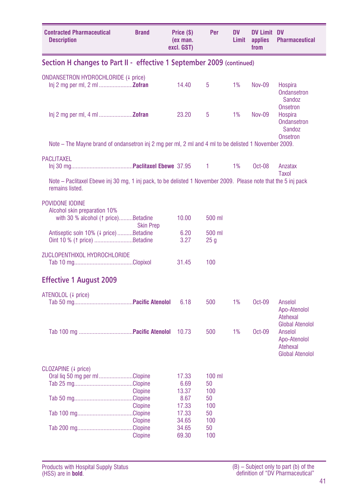| <b>Contracted Pharmaceutical</b><br><b>Description</b>                                                                            | <b>Brand</b>                     | Price (\$)<br>(ex man.<br>excl. GST) | Per                       | <b>DV</b><br>Limit | <b>DV Limit DV</b><br>applies<br>from | <b>Pharmaceutical</b>                                                                   |
|-----------------------------------------------------------------------------------------------------------------------------------|----------------------------------|--------------------------------------|---------------------------|--------------------|---------------------------------------|-----------------------------------------------------------------------------------------|
| Section H changes to Part II - effective 1 September 2009 (continued)                                                             |                                  |                                      |                           |                    |                                       |                                                                                         |
| ONDANSETRON HYDROCHLORIDE (4 price)                                                                                               |                                  | 14.40                                | 5                         | 1%                 | <b>Nov-09</b>                         | Hospira<br><b>Ondansetron</b><br>Sandoz                                                 |
| $lnj$ 2 mg per ml, 4 ml <b>Zofran</b>                                                                                             |                                  | 23.20                                | 5                         | 1%                 | <b>Nov-09</b>                         | <b>Onsetron</b><br>Hospira<br><b>Ondansetron</b><br>Sandoz<br><b>Onsetron</b>           |
| Note – The Mayne brand of ondansetron inj 2 mg per ml, 2 ml and 4 ml to be delisted 1 November 2009.                              |                                  |                                      |                           |                    |                                       |                                                                                         |
| <b>PACLITAXEL</b>                                                                                                                 |                                  |                                      | 1                         | 1%                 | $Oct-08$                              | Anzatax<br>Taxol                                                                        |
| Note – Paclitaxel Ebewe inj 30 mg, 1 inj pack, to be delisted 1 November 2009. Please note that the 5 inj pack<br>remains listed. |                                  |                                      |                           |                    |                                       |                                                                                         |
| POVIDONE IODINE<br>Alcohol skin preparation 10%<br>with 30 % alcohol (1 price)Betadine                                            |                                  | 10.00                                | 500 ml                    |                    |                                       |                                                                                         |
| Antiseptic soln 10% (4 price)Betadine<br>Oint 10 % (1 price) Betadine                                                             | <b>Skin Prep</b>                 | 6.20<br>3.27                         | 500 ml<br>25 <sub>q</sub> |                    |                                       |                                                                                         |
| ZUCLOPENTHIXOL HYDROCHLORIDE                                                                                                      |                                  | 31.45                                | 100                       |                    |                                       |                                                                                         |
| <b>Effective 1 August 2009</b>                                                                                                    |                                  |                                      |                           |                    |                                       |                                                                                         |
| ATENOLOL (4 price)                                                                                                                |                                  | 6.18                                 | 500                       | 1%                 | Oct-09                                | Anselol<br>Apo-Atenolol<br>Atehexal                                                     |
|                                                                                                                                   |                                  | 10.73                                | 500                       | 1%                 | Oct-09                                | <b>Global Atenolol</b><br>Anselol<br>Apo-Atenolol<br>Atehexal<br><b>Global Atenolol</b> |
| CLOZAPINE (+ price)                                                                                                               |                                  |                                      |                           |                    |                                       |                                                                                         |
| Oral liq 50 mg per ml Clopine                                                                                                     |                                  | 17.33<br>6.69                        | $100$ ml<br>50            |                    |                                       |                                                                                         |
|                                                                                                                                   | <b>Clopine</b>                   | 13.37<br>8.67                        | 100<br>50                 |                    |                                       |                                                                                         |
|                                                                                                                                   | <b>Clopine</b>                   | 17.33<br>17.33                       | 100<br>50                 |                    |                                       |                                                                                         |
|                                                                                                                                   | <b>Clopine</b><br><b>Clopine</b> | 34.65<br>34.65<br>69.30              | 100<br>50<br>100          |                    |                                       |                                                                                         |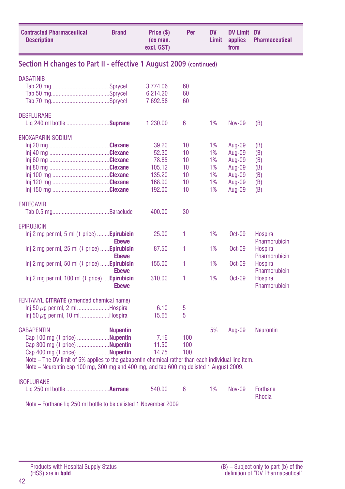| <b>Contracted Pharmaceutical</b><br><b>Description</b>                                              | <b>Brand</b>    | Price (\$)<br>(ex man.<br>excl. GST) | Per | <b>DV</b><br>Limit | <b>DV Limit DV</b><br>applies<br>from | <b>Pharmaceutical</b>           |
|-----------------------------------------------------------------------------------------------------|-----------------|--------------------------------------|-----|--------------------|---------------------------------------|---------------------------------|
| Section H changes to Part II - effective 1 August 2009 (continued)                                  |                 |                                      |     |                    |                                       |                                 |
| <b>DASATINIB</b>                                                                                    |                 |                                      |     |                    |                                       |                                 |
|                                                                                                     |                 | 3,774.06                             | 60  |                    |                                       |                                 |
|                                                                                                     |                 | 6,214.20                             | 60  |                    |                                       |                                 |
|                                                                                                     |                 | 7,692.58                             | 60  |                    |                                       |                                 |
| <b>DESFLURANE</b>                                                                                   |                 |                                      |     |                    |                                       |                                 |
| Lig 240 ml bottle Suprane                                                                           |                 | 1,230.00                             | 6   | 1%                 | <b>Nov-09</b>                         | (B)                             |
| <b>ENOXAPARIN SODIUM</b>                                                                            |                 |                                      |     |                    |                                       |                                 |
|                                                                                                     |                 | 39.20                                | 10  | 1%                 | Aug-09                                | (B)                             |
|                                                                                                     |                 | 52.30                                | 10  | 1%                 | Aug-09                                | (B)                             |
|                                                                                                     |                 | 78.85                                | 10  | 1%                 | Aug-09                                | (B)                             |
|                                                                                                     |                 | 105.12                               | 10  | 1%                 | Aug-09                                | (B)                             |
|                                                                                                     |                 | 135.20                               | 10  | 1%                 | Aug-09                                | (B)                             |
|                                                                                                     |                 | 168.00                               | 10  | 1%                 | Aug-09                                | (B)                             |
|                                                                                                     |                 | 192.00                               | 10  | 1%                 | Aug-09                                | (B)                             |
| <b>ENTECAVIR</b>                                                                                    |                 |                                      |     |                    |                                       |                                 |
|                                                                                                     |                 | 400.00                               | 30  |                    |                                       |                                 |
| <b>EPIRUBICIN</b>                                                                                   |                 |                                      |     |                    |                                       |                                 |
| $Inj 2 mg$ per ml, 5 ml (1 price) <b>Epirubicin</b>                                                 | <b>Ebewe</b>    | 25.00                                | 1   | 1%                 | $Oct-09$                              | <b>Hospira</b><br>Pharmorubicin |
| Inj 2 mg per ml, 25 ml $(1)$ price) <b>Epirubicin</b>                                               |                 | 87.50                                | 1   | 1%                 | Oct-09                                | <b>Hospira</b>                  |
|                                                                                                     | <b>Ebewe</b>    |                                      |     |                    |                                       | Pharmorubicin                   |
| Inj 2 mg per ml, 50 ml $(1 \text{ price})$ <b>Epirubicin</b>                                        |                 | 155.00                               | 1   | 1%                 | Oct-09                                | <b>Hospira</b>                  |
|                                                                                                     | <b>Ebewe</b>    |                                      |     |                    |                                       | Pharmorubicin                   |
| $\ln i$ 2 mg per ml, 100 ml ( $\downarrow$ price) <b>Epirubicin</b>                                 | <b>Ebewe</b>    | 310.00                               | 1   | 1%                 | $Oct-09$                              | <b>Hospira</b><br>Pharmorubicin |
|                                                                                                     |                 |                                      |     |                    |                                       |                                 |
| FENTANYL CITRATE (amended chemical name)                                                            |                 |                                      |     |                    |                                       |                                 |
| $\ln j$ 50 $\mu$ g per ml, 2 mlHospira                                                              |                 | 6.10                                 | 5   |                    |                                       |                                 |
| $\ln j$ 50 $\mu$ g per ml, 10 mlHospira                                                             |                 | 15.65                                | 5   |                    |                                       |                                 |
| <b>GABAPENTIN</b>                                                                                   | <b>Nupentin</b> |                                      |     | 5%                 | Aug-09                                | <b>Neurontin</b>                |
| Cap 100 mg (4 price) Nupentin                                                                       |                 | 7.16                                 | 100 |                    |                                       |                                 |
| Cap 300 mg (4 price) Nupentin                                                                       |                 | 11.50                                | 100 |                    |                                       |                                 |
| Cap 400 mg (4 price) Nupentin                                                                       |                 | 14.75                                | 100 |                    |                                       |                                 |
| Note – The DV limit of 5% applies to the gabapentin chemical rather than each individual line item. |                 |                                      |     |                    |                                       |                                 |
| Note - Neurontin cap 100 mg, 300 mg and 400 mg, and tab 600 mg delisted 1 August 2009.              |                 |                                      |     |                    |                                       |                                 |
| <b>ISOFLURANE</b>                                                                                   |                 |                                      |     |                    |                                       |                                 |
|                                                                                                     |                 | 540.00                               | 6   | 1%                 | <b>Nov-09</b>                         | Forthane                        |
|                                                                                                     |                 |                                      |     |                    |                                       | Rhodia                          |

Note – Forthane liq 250 ml bottle to be delisted 1 November 2009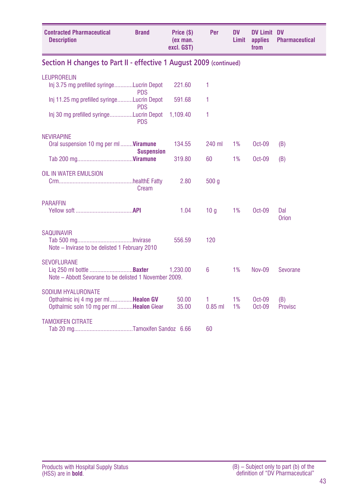| <b>Contracted Pharmaceutical</b><br><b>Description</b>                                                                     | <b>Brand</b>      | Price (\$)<br>(ex man.<br>excl. GST) | Per            | <b>DV</b><br>Limit | <b>DV Limit DV</b><br>applies<br>from | <b>Pharmaceutical</b> |
|----------------------------------------------------------------------------------------------------------------------------|-------------------|--------------------------------------|----------------|--------------------|---------------------------------------|-----------------------|
| Section H changes to Part II - effective 1 August 2009 (continued)                                                         |                   |                                      |                |                    |                                       |                       |
| <b>LEUPRORELIN</b><br>Inj 3.75 mg prefilled syringeLucrin Depot                                                            | <b>PDS</b>        | 221.60                               | 1              |                    |                                       |                       |
| Inj 11.25 mg prefilled syringeLucrin Depot                                                                                 | <b>PDS</b>        | 591.68                               | 1              |                    |                                       |                       |
| Inj 30 mg prefilled syringeLucrin Depot                                                                                    | <b>PDS</b>        | 1,109.40                             | 1              |                    |                                       |                       |
| <b>NEVIRAPINE</b><br>Oral suspension 10 mg per ml <b>Viramune</b>                                                          | <b>Suspension</b> | 134.55                               | 240 ml         | 1%                 | Oct-09                                | (B)                   |
|                                                                                                                            |                   | 319.80                               | 60             | 1%                 | Oct-09                                | (B)                   |
| OIL IN WATER EMULSION                                                                                                      | Cream             | 2.80                                 | 500q           |                    |                                       |                       |
| <b>PARAFFIN</b>                                                                                                            |                   | 1.04                                 | 10q            | 1%                 | $Oct-09$                              | Dal<br>Orion          |
| <b>SAQUINAVIR</b><br>Note - Invirase to be delisted 1 February 2010                                                        |                   | 556.59                               | 120            |                    |                                       |                       |
| <b>SEVOFLURANE</b><br>Note – Abbott Sevorane to be delisted 1 November 2009.                                               |                   | 1.230.00                             | 6              | 1%                 | Nov-09                                | Sevorane              |
| <b>SODIUM HYALURONATE</b><br>Opthalmic inj 4 mg per ml <b>Healon GV</b><br>Opthalmic soln 10 mg per ml <b>Healon</b> Glear |                   | 50.00<br>35.00                       | 1<br>$0.85$ ml | 1%<br>1%           | Oct-09<br>$Oct-09$                    | (B)<br>Provisc        |
| <b>TAMOXIFEN CITRATE</b>                                                                                                   |                   |                                      | 60             |                    |                                       |                       |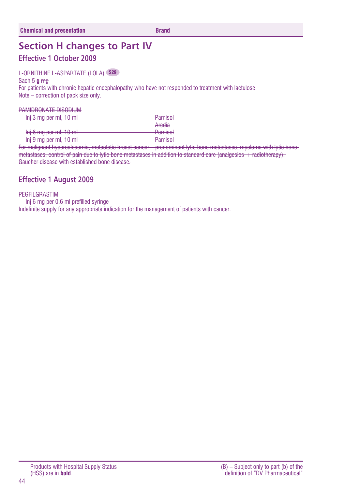## **Section H changes to Part IV**

### **Effective 1 October 2009**

#### L-ORNITHINE L-ASPARTATE (LOLA) **S29**

Sach 5 **g** mg

For patients with chronic hepatic encephalopathy who have not responded to treatment with lactulose Note – correction of pack size only.

#### PAMIDRONATE DISODIUM

| <b>Pamisol</b>                   |
|----------------------------------|
| Aredia                           |
| <b>Pamisol</b>                   |
| Damiool<br><del>r diffinit</del> |
|                                  |

For malignant hypercalcaemia, metastatic breast cancer – predominant lytic bone metastases, myeloma with lytic bone metastases, control of pain due to lytic bone metastases in addition to standard care (analgesics + radiotherapy), Gaucher disease with established bone disease.

### **Effective 1 August 2009**

#### PEGFILGRASTIM

Inj 6 mg per 0.6 ml prefilled syringe Indefinite supply for any appropriate indication for the management of patients with cancer.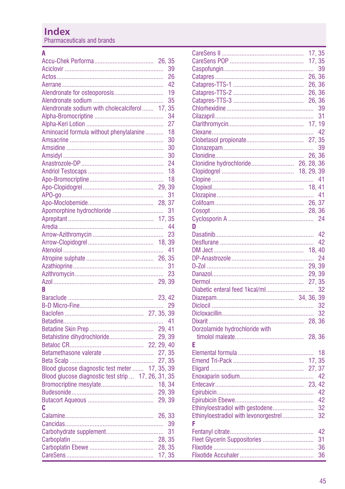### **Index**

Pharmaceuticals and brands

| A                                                   |        |
|-----------------------------------------------------|--------|
|                                                     | 26.35  |
|                                                     | 39     |
|                                                     | 26     |
|                                                     | 42     |
|                                                     | 19     |
|                                                     | 35     |
| Alendronate sodium with cholecalciferol 17, 35      |        |
|                                                     | 34     |
|                                                     | 27     |
| Aminoacid formula without phenylalanine             | 18     |
|                                                     | 30     |
|                                                     | 30     |
|                                                     | 30     |
|                                                     | 24     |
|                                                     | 18     |
|                                                     | 18     |
|                                                     |        |
|                                                     | 31     |
|                                                     |        |
| Apomorphine hydrochloride                           | 31     |
|                                                     | 17, 35 |
|                                                     | 44     |
|                                                     | 23     |
|                                                     | 18, 39 |
|                                                     | 41     |
|                                                     |        |
|                                                     | 31     |
|                                                     | 23     |
|                                                     |        |
| R                                                   |        |
|                                                     |        |
|                                                     |        |
|                                                     |        |
|                                                     | 41     |
|                                                     | 29.41  |
| Betahistine dihydrochloride                         | 29, 39 |
|                                                     |        |
| Betamethasone valerate                              | 27, 35 |
|                                                     | 27, 35 |
| Blood glucose diagnostic test meter<br>17, 35, 39   |        |
| Blood glucose diagnostic test strip  17, 26, 31, 35 |        |
| Bromocriptine mesylate                              | 18, 34 |
|                                                     | 29, 39 |
|                                                     | 29.39  |
| c                                                   |        |
|                                                     | 26, 33 |
|                                                     | 39     |
|                                                     | 31     |
|                                                     | 28, 35 |
|                                                     | 28, 35 |
| 17, 35                                              |        |

|                                       | 17, 35 |     |
|---------------------------------------|--------|-----|
|                                       | 17, 35 |     |
|                                       |        | 39  |
|                                       | 26, 36 |     |
|                                       | 26, 36 |     |
|                                       | 26, 36 |     |
|                                       |        |     |
|                                       |        | 39  |
|                                       |        | 31  |
|                                       |        |     |
|                                       |        |     |
|                                       |        |     |
|                                       |        | 39  |
|                                       |        |     |
| Clonidine hydrochloride 26, 28, 36    |        |     |
|                                       |        |     |
|                                       |        |     |
|                                       |        |     |
|                                       |        |     |
|                                       |        |     |
|                                       |        |     |
|                                       |        |     |
| D                                     |        |     |
|                                       |        | 42  |
|                                       |        | 42  |
|                                       |        |     |
|                                       |        | 24  |
|                                       |        |     |
|                                       |        |     |
|                                       |        |     |
|                                       |        | 32  |
|                                       |        |     |
|                                       |        | 32  |
|                                       |        | 32  |
|                                       |        |     |
| Dorzolamide hydrochloride with        |        |     |
|                                       |        |     |
| F                                     |        |     |
|                                       |        | 18  |
|                                       |        |     |
|                                       |        |     |
|                                       |        |     |
|                                       |        | -42 |
|                                       |        |     |
|                                       |        |     |
|                                       |        | 42  |
| Ethinyloestradiol with gestodene      |        | 32  |
| Ethinyloestradiol with levonorgestrel |        | 32  |
| F                                     |        |     |
|                                       |        | 42  |
| Fleet Glycerin Suppositories          |        | 31  |
|                                       |        | 36  |
|                                       |        | 36  |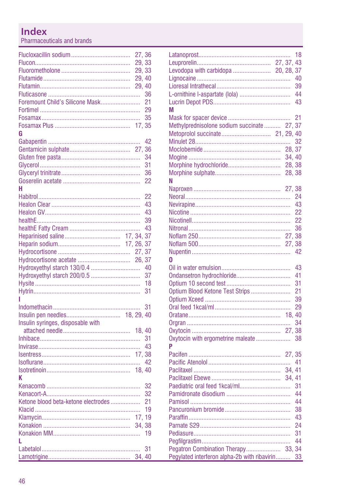# Index

Pharmaceuticals and brands

|                                     | 27,36  |    |
|-------------------------------------|--------|----|
|                                     | 29, 33 |    |
|                                     | 29, 33 |    |
|                                     | 29, 40 |    |
|                                     | 29, 40 |    |
|                                     |        | 36 |
| Foremount Child's Silicone Mask     |        | 21 |
|                                     |        |    |
|                                     |        | 35 |
|                                     |        |    |
| G                                   |        |    |
|                                     |        | 42 |
|                                     |        | 36 |
|                                     |        | 34 |
|                                     |        | 31 |
|                                     |        | 36 |
|                                     |        | 22 |
| н                                   |        |    |
|                                     |        | 22 |
|                                     |        | 43 |
|                                     |        | 43 |
|                                     |        | 39 |
|                                     |        | 43 |
|                                     |        |    |
|                                     |        |    |
|                                     |        |    |
|                                     |        |    |
|                                     |        | 40 |
|                                     |        | 37 |
|                                     |        | 18 |
|                                     |        | 31 |
| ı                                   |        |    |
|                                     |        | 31 |
|                                     |        |    |
|                                     |        |    |
|                                     |        |    |
|                                     |        |    |
|                                     |        |    |
|                                     |        |    |
|                                     |        |    |
|                                     |        |    |
| K                                   |        |    |
|                                     |        | 32 |
|                                     |        | 32 |
| Ketone blood beta-ketone electrodes |        | 21 |
|                                     |        | 19 |
|                                     | 17, 19 |    |
|                                     | 34, 38 |    |
|                                     |        | 19 |
| L                                   |        |    |
|                                     |        | 31 |
|                                     | 34, 40 |    |

| L-ornithine l-aspartate (lola)<br>М                                                                              | 18<br>40<br>39<br>44<br>43                               |
|------------------------------------------------------------------------------------------------------------------|----------------------------------------------------------|
| Methylprednisolone sodium succinate 27, 37<br>28, 37<br>34, 40<br>Morphine hydrochloride<br>28, 38<br>28.38<br>Ν | 21<br>32                                                 |
| 27, 38<br>n                                                                                                      | 24<br>43<br>22<br>22<br>36<br>42                         |
| Ondansetron hydrochloride<br>Optium Blood Ketone Test Strips<br>Oxytocin with ergometrine maleate<br>P           | 43<br>41<br>31<br>21<br>39<br>29<br>34<br>38             |
| 34.41<br>Pegatron Combination Therapy 33, 34<br>Pegylated interferon alpha-2b with ribavirin                     | 41<br>31<br>44<br>44<br>38<br>43<br>24<br>31<br>44<br>33 |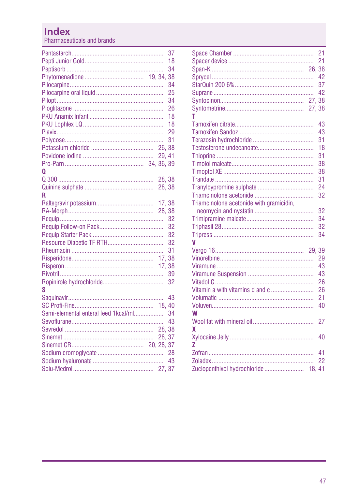### **Index**

Pharmaceuticals and brands

|                                      |        | 37<br>18<br>34<br>38<br>34<br>25<br>34<br>26 |
|--------------------------------------|--------|----------------------------------------------|
|                                      |        | 18<br>18                                     |
|                                      |        | 29                                           |
|                                      |        | 31                                           |
|                                      |        |                                              |
|                                      | 29, 41 |                                              |
|                                      |        |                                              |
| Ω                                    |        |                                              |
|                                      | 28, 38 |                                              |
|                                      | 28, 38 |                                              |
| R                                    |        |                                              |
|                                      |        |                                              |
|                                      |        |                                              |
|                                      |        | 32                                           |
|                                      |        | 32                                           |
|                                      |        | 32                                           |
|                                      |        | 32                                           |
|                                      |        | 31                                           |
|                                      |        |                                              |
|                                      |        |                                              |
|                                      |        | 39                                           |
|                                      |        | 32                                           |
| S                                    |        |                                              |
|                                      |        | 43                                           |
|                                      |        |                                              |
| Semi-elemental enteral feed 1kcal/ml |        | 34                                           |
|                                      |        | 43                                           |
|                                      |        |                                              |
|                                      |        |                                              |
|                                      |        |                                              |
|                                      |        |                                              |
|                                      |        |                                              |
|                                      |        |                                              |

|                                          | 21 |
|------------------------------------------|----|
|                                          | 21 |
|                                          |    |
|                                          | 42 |
|                                          | 37 |
|                                          | 42 |
|                                          |    |
| 27,38                                    |    |
| т                                        |    |
|                                          | 43 |
|                                          | 43 |
|                                          | 31 |
|                                          | 18 |
|                                          | 31 |
|                                          | 38 |
|                                          | 38 |
|                                          | 31 |
|                                          | 24 |
|                                          | 32 |
| Triamcinolone acetonide with gramicidin, |    |
|                                          | 32 |
|                                          | 34 |
|                                          | 32 |
|                                          | 34 |
| V                                        |    |
| 29.39                                    |    |
|                                          | 29 |
|                                          | 43 |
|                                          | 43 |
|                                          | 26 |
| Vitamin a with vitamins d and c          | 26 |
|                                          | 21 |
|                                          | 40 |
| W                                        |    |
|                                          | 27 |
|                                          |    |
| χ                                        |    |
|                                          | 40 |
| Z                                        |    |
|                                          | 41 |
|                                          | 22 |
| Zuclopenthixol hydrochloride<br>18.41    |    |